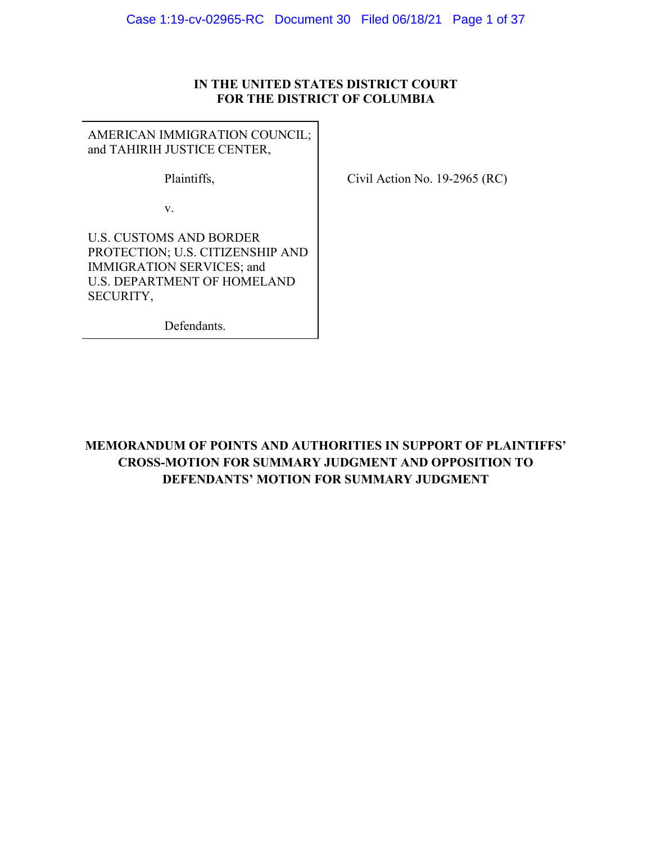## **IN THE UNITED STATES DISTRICT COURT FOR THE DISTRICT OF COLUMBIA**

AMERICAN IMMIGRATION COUNCIL; and TAHIRIH JUSTICE CENTER,

Plaintiffs,

v.

Civil Action No. 19-2965 (RC)

U.S. CUSTOMS AND BORDER PROTECTION; U.S. CITIZENSHIP AND IMMIGRATION SERVICES; and U.S. DEPARTMENT OF HOMELAND SECURITY,

Defendants.

**MEMORANDUM OF POINTS AND AUTHORITIES IN SUPPORT OF PLAINTIFFS' CROSS-MOTION FOR SUMMARY JUDGMENT AND OPPOSITION TO DEFENDANTS' MOTION FOR SUMMARY JUDGMENT**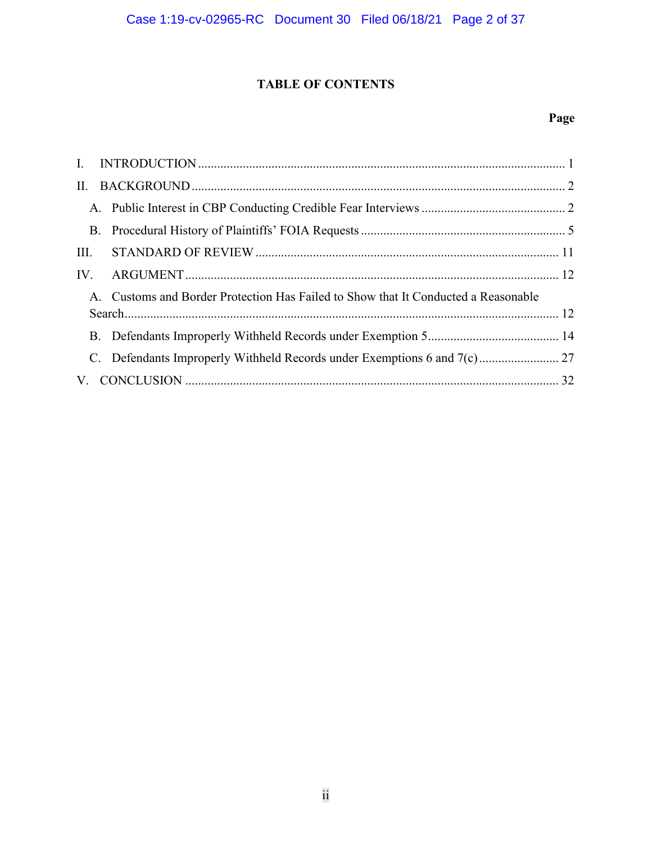# **TABLE OF CONTENTS**

# **Page**

| $\Pi$ . |                                                                                    |  |
|---------|------------------------------------------------------------------------------------|--|
|         |                                                                                    |  |
|         |                                                                                    |  |
| III.    |                                                                                    |  |
|         |                                                                                    |  |
|         | A. Customs and Border Protection Has Failed to Show that It Conducted a Reasonable |  |
|         |                                                                                    |  |
|         |                                                                                    |  |
|         |                                                                                    |  |
|         |                                                                                    |  |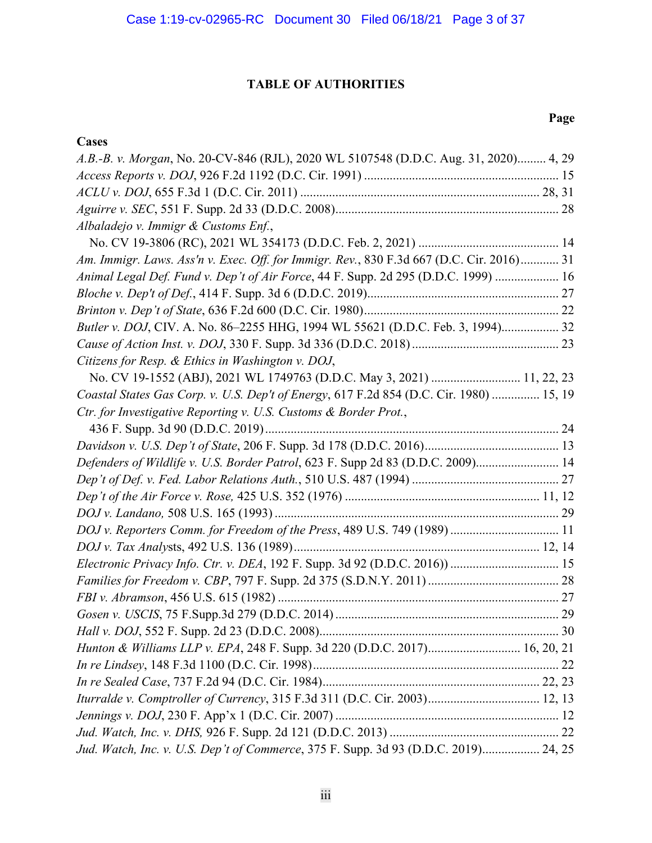# **TABLE OF AUTHORITIES**

## **Cases**

# **Page**

| A.B.-B. v. Morgan, No. 20-CV-846 (RJL), 2020 WL 5107548 (D.D.C. Aug. 31, 2020) 4, 29     |  |
|------------------------------------------------------------------------------------------|--|
|                                                                                          |  |
|                                                                                          |  |
|                                                                                          |  |
| Albaladejo v. Immigr & Customs Enf.,                                                     |  |
|                                                                                          |  |
| Am. Immigr. Laws. Ass'n v. Exec. Off. for Immigr. Rev., 830 F.3d 667 (D.C. Cir. 2016) 31 |  |
| Animal Legal Def. Fund v. Dep't of Air Force, 44 F. Supp. 2d 295 (D.D.C. 1999)  16       |  |
|                                                                                          |  |
|                                                                                          |  |
| Butler v. DOJ, CIV. A. No. 86-2255 HHG, 1994 WL 55621 (D.D.C. Feb. 3, 1994) 32           |  |
|                                                                                          |  |
| Citizens for Resp. & Ethics in Washington v. DOJ,                                        |  |
| No. CV 19-1552 (ABJ), 2021 WL 1749763 (D.D.C. May 3, 2021)  11, 22, 23                   |  |
| Coastal States Gas Corp. v. U.S. Dep't of Energy, 617 F.2d 854 (D.C. Cir. 1980)  15, 19  |  |
| Ctr. for Investigative Reporting v. U.S. Customs & Border Prot.,                         |  |
|                                                                                          |  |
|                                                                                          |  |
| Defenders of Wildlife v. U.S. Border Patrol, 623 F. Supp 2d 83 (D.D.C. 2009) 14          |  |
|                                                                                          |  |
|                                                                                          |  |
|                                                                                          |  |
| DOJ v. Reporters Comm. for Freedom of the Press, 489 U.S. 749 (1989)  11                 |  |
|                                                                                          |  |
|                                                                                          |  |
|                                                                                          |  |
|                                                                                          |  |
|                                                                                          |  |
|                                                                                          |  |
| Hunton & Williams LLP v. EPA, 248 F. Supp. 3d 220 (D.D.C. 2017) 16, 20, 21               |  |
|                                                                                          |  |
|                                                                                          |  |
| Iturralde v. Comptroller of Currency, 315 F.3d 311 (D.C. Cir. 2003) 12, 13               |  |
|                                                                                          |  |
|                                                                                          |  |
| Jud. Watch, Inc. v. U.S. Dep't of Commerce, 375 F. Supp. 3d 93 (D.D.C. 2019) 24, 25      |  |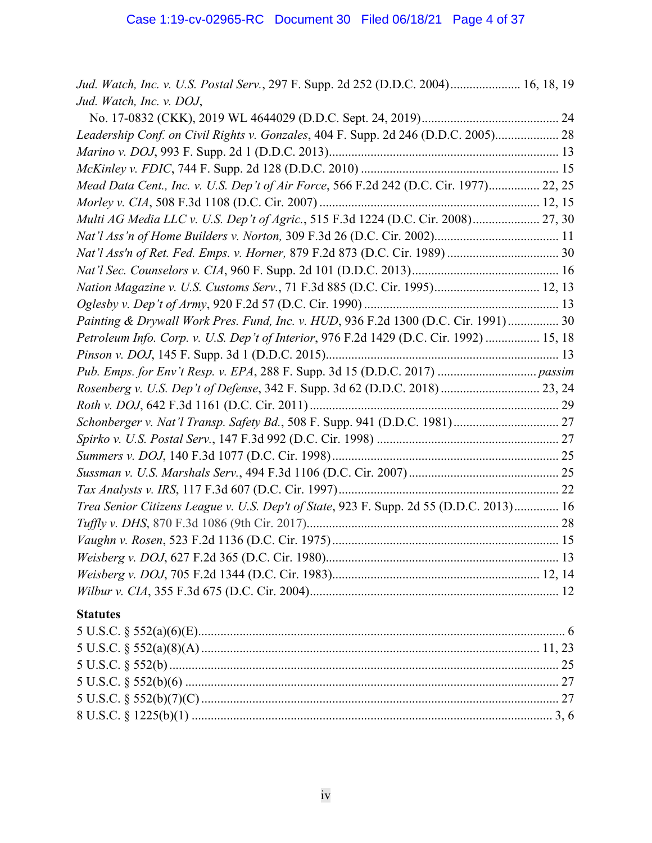| Jud. Watch, Inc. v. U.S. Postal Serv., 297 F. Supp. 2d 252 (D.D.C. 2004) 16, 18, 19     |  |
|-----------------------------------------------------------------------------------------|--|
| Jud. Watch, Inc. v. DOJ,                                                                |  |
|                                                                                         |  |
| Leadership Conf. on Civil Rights v. Gonzales, 404 F. Supp. 2d 246 (D.D.C. 2005) 28      |  |
|                                                                                         |  |
|                                                                                         |  |
| Mead Data Cent., Inc. v. U.S. Dep't of Air Force, 566 F.2d 242 (D.C. Cir. 1977) 22, 25  |  |
|                                                                                         |  |
| Multi AG Media LLC v. U.S. Dep't of Agric., 515 F.3d 1224 (D.C. Cir. 2008) 27, 30       |  |
|                                                                                         |  |
|                                                                                         |  |
|                                                                                         |  |
| Nation Magazine v. U.S. Customs Serv., 71 F.3d 885 (D.C. Cir. 1995) 12, 13              |  |
|                                                                                         |  |
| Painting & Drywall Work Pres. Fund, Inc. v. HUD, 936 F.2d 1300 (D.C. Cir. 1991) 30      |  |
| Petroleum Info. Corp. v. U.S. Dep't of Interior, 976 F.2d 1429 (D.C. Cir. 1992)  15, 18 |  |
|                                                                                         |  |
|                                                                                         |  |
| Rosenberg v. U.S. Dep't of Defense, 342 F. Supp. 3d 62 (D.D.C. 2018) 23, 24             |  |
|                                                                                         |  |
|                                                                                         |  |
|                                                                                         |  |
|                                                                                         |  |
|                                                                                         |  |
|                                                                                         |  |
| Trea Senior Citizens League v. U.S. Dep't of State, 923 F. Supp. 2d 55 (D.D.C. 2013) 16 |  |
|                                                                                         |  |
|                                                                                         |  |
|                                                                                         |  |
|                                                                                         |  |
|                                                                                         |  |
| <b>Statutes</b>                                                                         |  |
|                                                                                         |  |
|                                                                                         |  |
|                                                                                         |  |
|                                                                                         |  |
|                                                                                         |  |
|                                                                                         |  |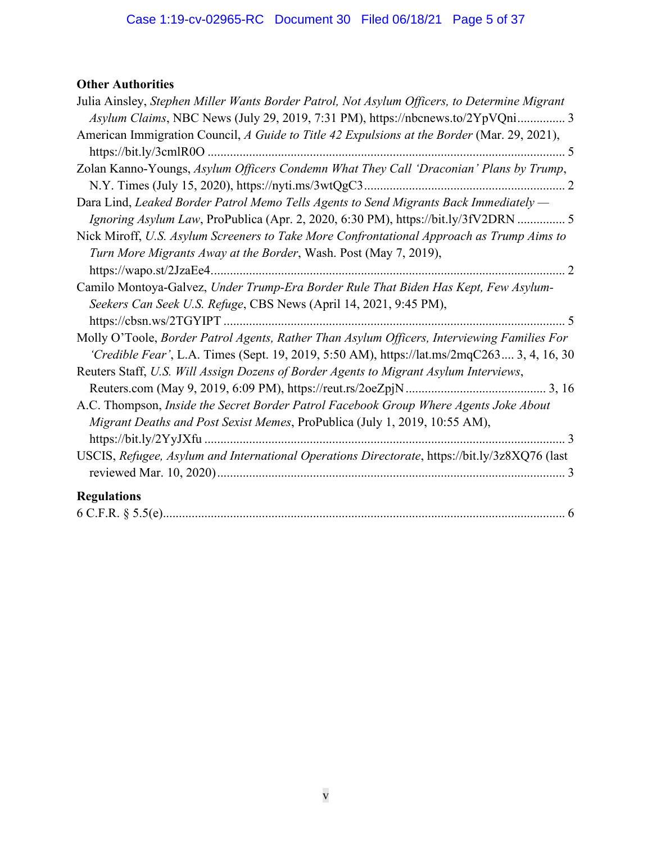# **Other Authorities**

| Julia Ainsley, Stephen Miller Wants Border Patrol, Not Asylum Officers, to Determine Migrant  |
|-----------------------------------------------------------------------------------------------|
| Asylum Claims, NBC News (July 29, 2019, 7:31 PM), https://nbcnews.to/2YpVQni 3                |
| American Immigration Council, A Guide to Title 42 Expulsions at the Border (Mar. 29, 2021),   |
|                                                                                               |
| Zolan Kanno-Youngs, Asylum Officers Condemn What They Call 'Draconian' Plans by Trump,        |
|                                                                                               |
| Dara Lind, Leaked Border Patrol Memo Tells Agents to Send Migrants Back Immediately —         |
| Ignoring Asylum Law, ProPublica (Apr. 2, 2020, 6:30 PM), https://bit.ly/3fV2DRN  5            |
| Nick Miroff, U.S. Asylum Screeners to Take More Confrontational Approach as Trump Aims to     |
| Turn More Migrants Away at the Border, Wash. Post (May 7, 2019),                              |
|                                                                                               |
| Camilo Montoya-Galvez, Under Trump-Era Border Rule That Biden Has Kept, Few Asylum-           |
| Seekers Can Seek U.S. Refuge, CBS News (April 14, 2021, 9:45 PM),                             |
|                                                                                               |
| Molly O'Toole, Border Patrol Agents, Rather Than Asylum Officers, Interviewing Families For   |
| 'Credible Fear', L.A. Times (Sept. 19, 2019, 5:50 AM), https://lat.ms/2mqC263 3, 4, 16, 30    |
| Reuters Staff, U.S. Will Assign Dozens of Border Agents to Migrant Asylum Interviews,         |
|                                                                                               |
| A.C. Thompson, Inside the Secret Border Patrol Facebook Group Where Agents Joke About         |
| Migrant Deaths and Post Sexist Memes, ProPublica (July 1, 2019, 10:55 AM),                    |
|                                                                                               |
| USCIS, Refugee, Asylum and International Operations Directorate, https://bit.ly/3z8XQ76 (last |
|                                                                                               |
| <b>Regulations</b>                                                                            |
|                                                                                               |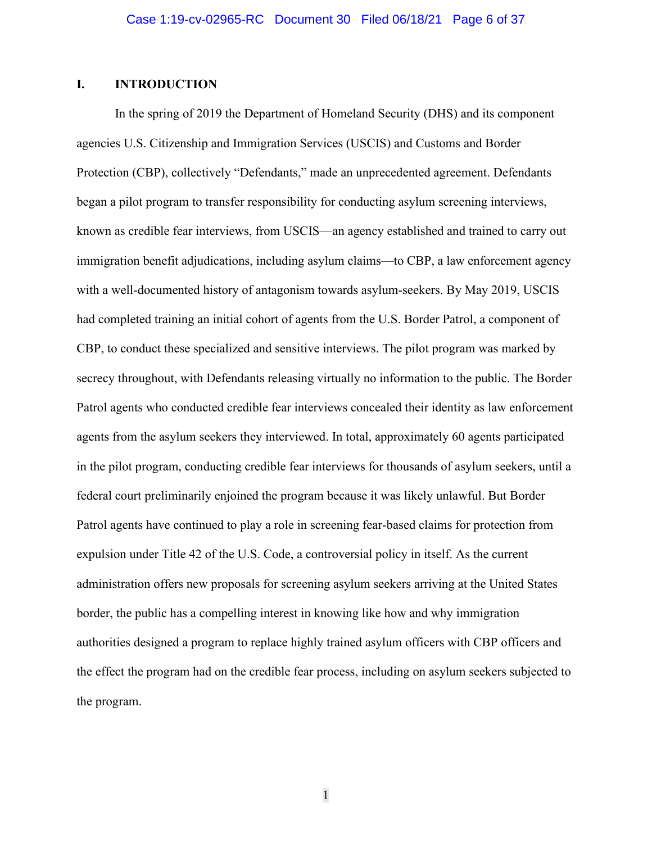### <span id="page-5-0"></span>**I. INTRODUCTION**

In the spring of 2019 the Department of Homeland Security (DHS) and its component agencies U.S. Citizenship and Immigration Services (USCIS) and Customs and Border Protection (CBP), collectively "Defendants," made an unprecedented agreement. Defendants began a pilot program to transfer responsibility for conducting asylum screening interviews, known as credible fear interviews, from USCIS—an agency established and trained to carry out immigration benefit adjudications, including asylum claims—to CBP, a law enforcement agency with a well-documented history of antagonism towards asylum-seekers. By May 2019, USCIS had completed training an initial cohort of agents from the U.S. Border Patrol, a component of CBP, to conduct these specialized and sensitive interviews. The pilot program was marked by secrecy throughout, with Defendants releasing virtually no information to the public. The Border Patrol agents who conducted credible fear interviews concealed their identity as law enforcement agents from the asylum seekers they interviewed. In total, approximately 60 agents participated in the pilot program, conducting credible fear interviews for thousands of asylum seekers, until a federal court preliminarily enjoined the program because it was likely unlawful. But Border Patrol agents have continued to play a role in screening fear-based claims for protection from expulsion under Title 42 of the U.S. Code, a controversial policy in itself. As the current administration offers new proposals for screening asylum seekers arriving at the United States border, the public has a compelling interest in knowing like how and why immigration authorities designed a program to replace highly trained asylum officers with CBP officers and the effect the program had on the credible fear process, including on asylum seekers subjected to the program.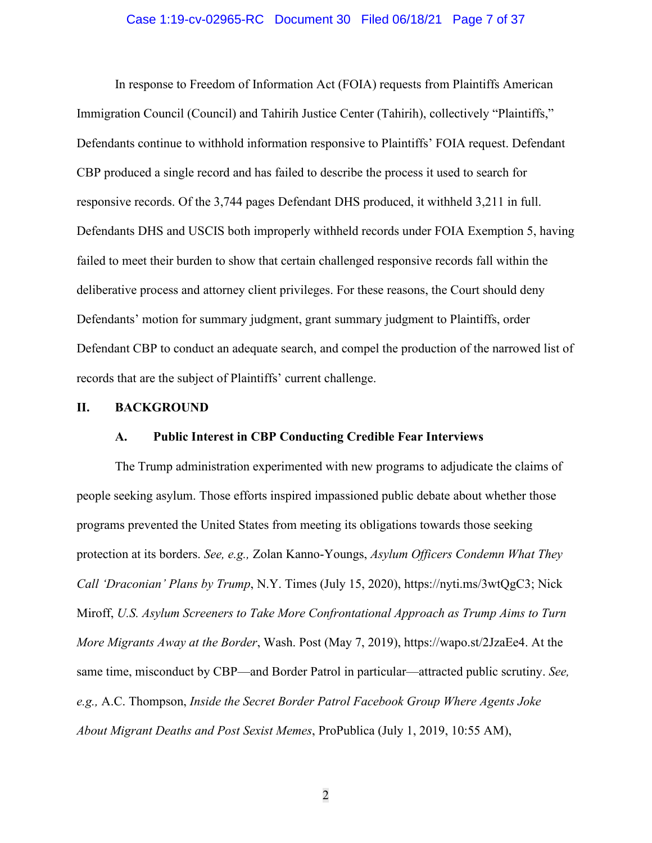#### Case 1:19-cv-02965-RC Document 30 Filed 06/18/21 Page 7 of 37

In response to Freedom of Information Act (FOIA) requests from Plaintiffs American Immigration Council (Council) and Tahirih Justice Center (Tahirih), collectively "Plaintiffs," Defendants continue to withhold information responsive to Plaintiffs' FOIA request. Defendant CBP produced a single record and has failed to describe the process it used to search for responsive records. Of the 3,744 pages Defendant DHS produced, it withheld 3,211 in full. Defendants DHS and USCIS both improperly withheld records under FOIA Exemption 5, having failed to meet their burden to show that certain challenged responsive records fall within the deliberative process and attorney client privileges. For these reasons, the Court should deny Defendants' motion for summary judgment, grant summary judgment to Plaintiffs, order Defendant CBP to conduct an adequate search, and compel the production of the narrowed list of records that are the subject of Plaintiffs' current challenge.

#### <span id="page-6-1"></span><span id="page-6-0"></span>**II. BACKGROUND**

#### **A. Public Interest in CBP Conducting Credible Fear Interviews**

The Trump administration experimented with new programs to adjudicate the claims of people seeking asylum. Those efforts inspired impassioned public debate about whether those programs prevented the United States from meeting its obligations towards those seeking protection at its borders. *See, e.g.,* Zolan Kanno-Youngs, *Asylum Officers Condemn What They Call 'Draconian' Plans by Trump*, N.Y. Times (July 15, 2020), https://nyti.ms/3wtQgC3; Nick Miroff, *U.S. Asylum Screeners to Take More Confrontational Approach as Trump Aims to Turn More Migrants Away at the Border*, Wash. Post (May 7, 2019), https://wapo.st/2JzaEe4. At the same time, misconduct by CBP—and Border Patrol in particular—attracted public scrutiny. *See, e.g.,* A.C. Thompson, *Inside the Secret Border Patrol Facebook Group Where Agents Joke About Migrant Deaths and Post Sexist Memes*, ProPublica (July 1, 2019, 10:55 AM),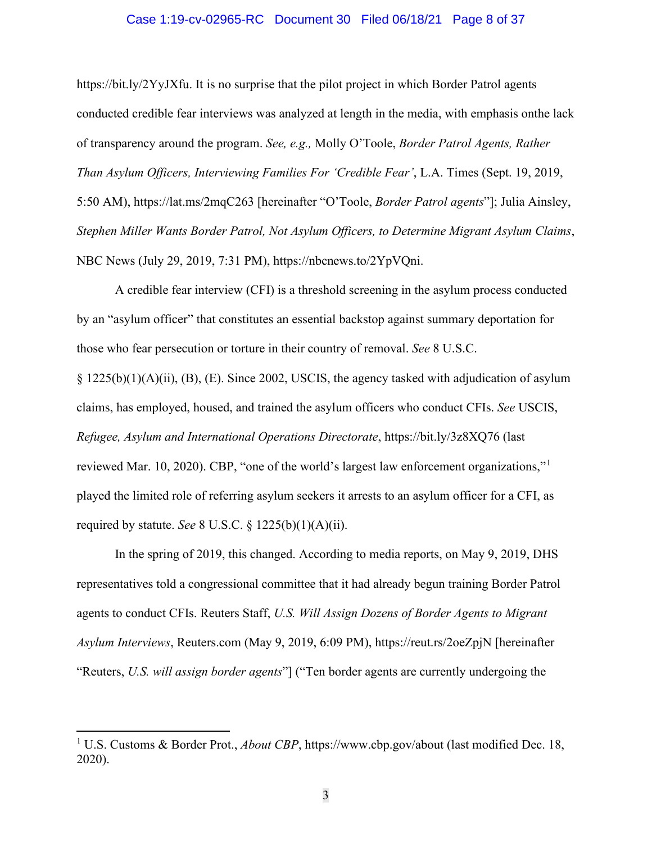#### Case 1:19-cv-02965-RC Document 30 Filed 06/18/21 Page 8 of 37

https://bit.ly/2YyJXfu. It is no surprise that the pilot project in which Border Patrol agents conducted credible fear interviews was analyzed at length in the media, with emphasis onthe lack of transparency around the program. *See, e.g.,* Molly O'Toole, *Border Patrol Agents, Rather Than Asylum Officers, Interviewing Families For 'Credible Fear'*, L.A. Times (Sept. 19, 2019, 5:50 AM), https://lat.ms/2mqC263 [hereinafter "O'Toole, *Border Patrol agents*"]; Julia Ainsley, *Stephen Miller Wants Border Patrol, Not Asylum Officers, to Determine Migrant Asylum Claims*, NBC News (July 29, 2019, 7:31 PM), https://nbcnews.to/2YpVQni.

A credible fear interview (CFI) is a threshold screening in the asylum process conducted by an "asylum officer" that constitutes an essential backstop against summary deportation for those who fear persecution or torture in their country of removal. *See* 8 U.S.C.

§ 1225(b)(1)(A)(ii), (B), (E). Since 2002, USCIS, the agency tasked with adjudication of asylum claims, has employed, housed, and trained the asylum officers who conduct CFIs. *See* USCIS, *Refugee, Asylum and International Operations Directorate*, https://bit.ly/3z8XQ76 (last reviewed Mar. [1](#page-7-0)0, 2020). CBP, "one of the world's largest law enforcement organizations," played the limited role of referring asylum seekers it arrests to an asylum officer for a CFI, as required by statute. *See* 8 U.S.C. § 1225(b)(1)(A)(ii).

In the spring of 2019, this changed. According to media reports, on May 9, 2019, DHS representatives told a congressional committee that it had already begun training Border Patrol agents to conduct CFIs. Reuters Staff, *U.S. Will Assign Dozens of Border Agents to Migrant Asylum Interviews*, Reuters.com (May 9, 2019, 6:09 PM), https://reut.rs/2oeZpjN [hereinafter "Reuters, *U.S. will assign border agents*"] ("Ten border agents are currently undergoing the

<span id="page-7-0"></span><sup>&</sup>lt;sup>1</sup> U.S. Customs & Border Prot., *About CBP*, https://www.cbp.gov/about (last modified Dec. 18, 2020).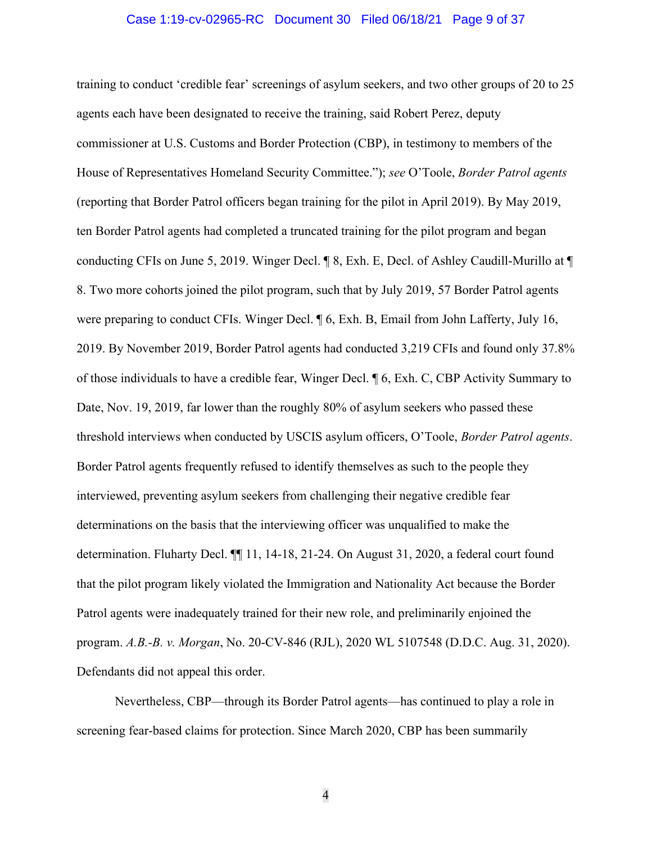#### Case 1:19-cv-02965-RC Document 30 Filed 06/18/21 Page 9 of 37

training to conduct 'credible fear' screenings of asylum seekers, and two other groups of 20 to 25 agents each have been designated to receive the training, said Robert Perez, deputy commissioner at U.S. Customs and Border Protection (CBP), in testimony to members of the House of Representatives Homeland Security Committee."); *see* O'Toole, *Border Patrol agents* (reporting that Border Patrol officers began training for the pilot in April 2019). By May 2019, ten Border Patrol agents had completed a truncated training for the pilot program and began conducting CFIs on June 5, 2019. Winger Decl. ¶ 8, Exh. E, Decl. of Ashley Caudill-Murillo at ¶ 8. Two more cohorts joined the pilot program, such that by July 2019, 57 Border Patrol agents were preparing to conduct CFIs. Winger Decl. ¶ 6, Exh. B, Email from John Lafferty, July 16, 2019. By November 2019, Border Patrol agents had conducted 3,219 CFIs and found only 37.8% of those individuals to have a credible fear, Winger Decl. ¶ 6, Exh. C, CBP Activity Summary to Date, Nov. 19, 2019, far lower than the roughly 80% of asylum seekers who passed these threshold interviews when conducted by USCIS asylum officers, O'Toole, *Border Patrol agents*. Border Patrol agents frequently refused to identify themselves as such to the people they interviewed, preventing asylum seekers from challenging their negative credible fear determinations on the basis that the interviewing officer was unqualified to make the determination. Fluharty Decl. ¶¶ 11, 14-18, 21-24. On August 31, 2020, a federal court found that the pilot program likely violated the Immigration and Nationality Act because the Border Patrol agents were inadequately trained for their new role, and preliminarily enjoined the program. *A.B.-B. v. Morgan*, No. 20-CV-846 (RJL), 2020 WL 5107548 (D.D.C. Aug. 31, 2020). Defendants did not appeal this order.

Nevertheless, CBP—through its Border Patrol agents—has continued to play a role in screening fear-based claims for protection. Since March 2020, CBP has been summarily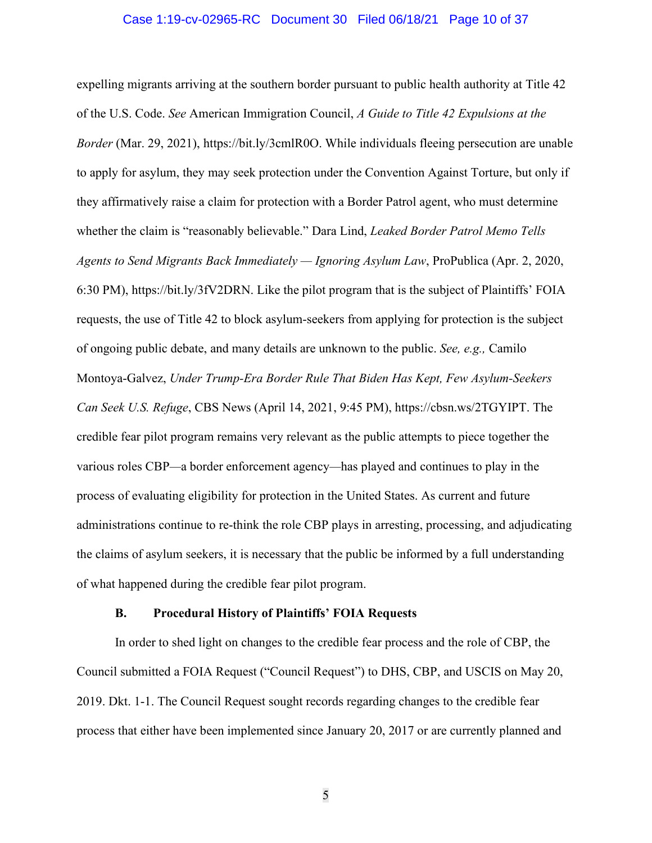#### Case 1:19-cv-02965-RC Document 30 Filed 06/18/21 Page 10 of 37

expelling migrants arriving at the southern border pursuant to public health authority at Title 42 of the U.S. Code. *See* American Immigration Council, *A Guide to Title 42 Expulsions at the Border* (Mar. 29, 2021), https://bit.ly/3cmlR0O. While individuals fleeing persecution are unable to apply for asylum, they may seek protection under the Convention Against Torture, but only if they affirmatively raise a claim for protection with a Border Patrol agent, who must determine whether the claim is "reasonably believable." Dara Lind, *Leaked Border Patrol Memo Tells Agents to Send Migrants Back Immediately — Ignoring Asylum Law*, ProPublica (Apr. 2, 2020, 6:30 PM), https://bit.ly/3fV2DRN. Like the pilot program that is the subject of Plaintiffs' FOIA requests, the use of Title 42 to block asylum-seekers from applying for protection is the subject of ongoing public debate, and many details are unknown to the public. *See, e.g.,* Camilo Montoya-Galvez, *Under Trump-Era Border Rule That Biden Has Kept, Few Asylum-Seekers Can Seek U.S. Refuge*, CBS News (April 14, 2021, 9:45 PM), https://cbsn.ws/2TGYIPT. The credible fear pilot program remains very relevant as the public attempts to piece together the various roles CBP*—*a border enforcement agency*—*has played and continues to play in the process of evaluating eligibility for protection in the United States. As current and future administrations continue to re-think the role CBP plays in arresting, processing, and adjudicating the claims of asylum seekers, it is necessary that the public be informed by a full understanding of what happened during the credible fear pilot program.

#### **B. Procedural History of Plaintiffs' FOIA Requests**

<span id="page-9-0"></span>In order to shed light on changes to the credible fear process and the role of CBP, the Council submitted a FOIA Request ("Council Request") to DHS, CBP, and USCIS on May 20, 2019. Dkt. 1-1. The Council Request sought records regarding changes to the credible fear process that either have been implemented since January 20, 2017 or are currently planned and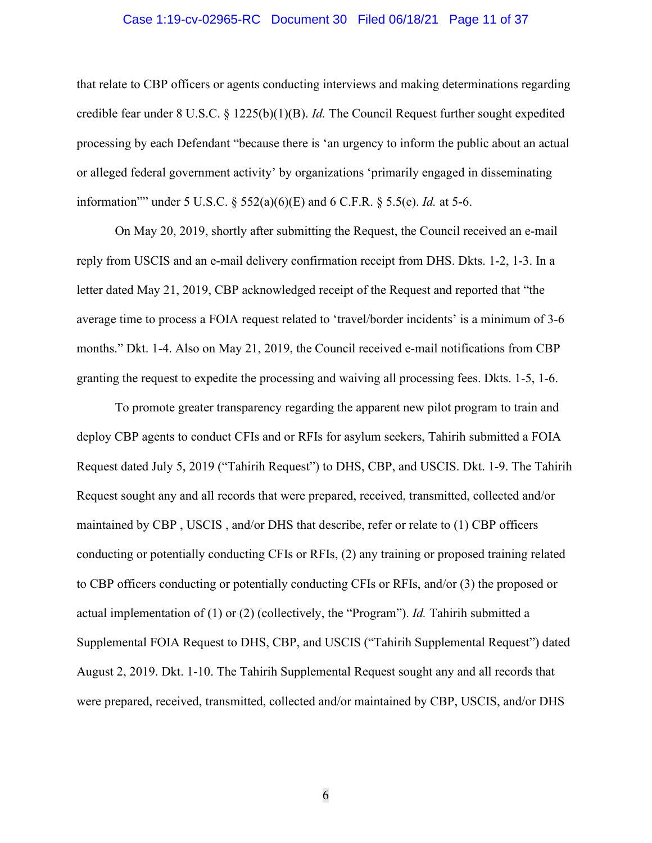#### Case 1:19-cv-02965-RC Document 30 Filed 06/18/21 Page 11 of 37

that relate to CBP officers or agents conducting interviews and making determinations regarding credible fear under 8 U.S.C. § 1225(b)(1)(B). *Id.* The Council Request further sought expedited processing by each Defendant "because there is 'an urgency to inform the public about an actual or alleged federal government activity' by organizations 'primarily engaged in disseminating information"" under 5 U.S.C. § 552(a)(6)(E) and 6 C.F.R. § 5.5(e). *Id.* at 5-6.

On May 20, 2019, shortly after submitting the Request, the Council received an e-mail reply from USCIS and an e-mail delivery confirmation receipt from DHS. Dkts. 1-2, 1-3. In a letter dated May 21, 2019, CBP acknowledged receipt of the Request and reported that "the average time to process a FOIA request related to 'travel/border incidents' is a minimum of 3-6 months." Dkt. 1-4. Also on May 21, 2019, the Council received e-mail notifications from CBP granting the request to expedite the processing and waiving all processing fees. Dkts. 1-5, 1-6.

To promote greater transparency regarding the apparent new pilot program to train and deploy CBP agents to conduct CFIs and or RFIs for asylum seekers, Tahirih submitted a FOIA Request dated July 5, 2019 ("Tahirih Request") to DHS, CBP, and USCIS. Dkt. 1-9. The Tahirih Request sought any and all records that were prepared, received, transmitted, collected and/or maintained by CBP , USCIS , and/or DHS that describe, refer or relate to (1) CBP officers conducting or potentially conducting CFIs or RFIs, (2) any training or proposed training related to CBP officers conducting or potentially conducting CFIs or RFIs, and/or (3) the proposed or actual implementation of (1) or (2) (collectively, the "Program"). *Id.* Tahirih submitted a Supplemental FOIA Request to DHS, CBP, and USCIS ("Tahirih Supplemental Request") dated August 2, 2019. Dkt. 1-10. The Tahirih Supplemental Request sought any and all records that were prepared, received, transmitted, collected and/or maintained by CBP, USCIS, and/or DHS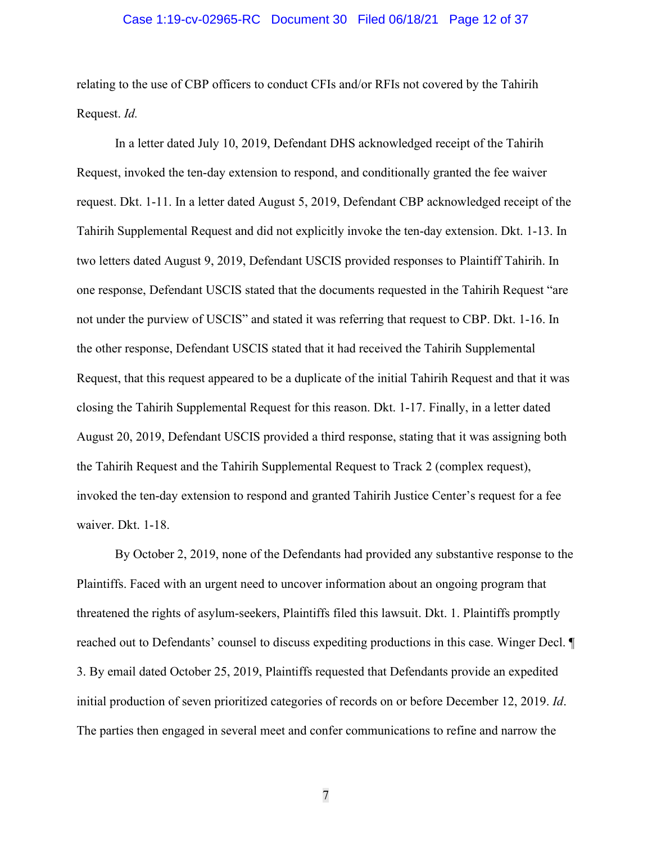#### Case 1:19-cv-02965-RC Document 30 Filed 06/18/21 Page 12 of 37

relating to the use of CBP officers to conduct CFIs and/or RFIs not covered by the Tahirih Request. *Id.* 

In a letter dated July 10, 2019, Defendant DHS acknowledged receipt of the Tahirih Request, invoked the ten-day extension to respond, and conditionally granted the fee waiver request. Dkt. 1-11. In a letter dated August 5, 2019, Defendant CBP acknowledged receipt of the Tahirih Supplemental Request and did not explicitly invoke the ten-day extension. Dkt. 1-13. In two letters dated August 9, 2019, Defendant USCIS provided responses to Plaintiff Tahirih. In one response, Defendant USCIS stated that the documents requested in the Tahirih Request "are not under the purview of USCIS" and stated it was referring that request to CBP. Dkt. 1-16. In the other response, Defendant USCIS stated that it had received the Tahirih Supplemental Request, that this request appeared to be a duplicate of the initial Tahirih Request and that it was closing the Tahirih Supplemental Request for this reason. Dkt. 1-17. Finally, in a letter dated August 20, 2019, Defendant USCIS provided a third response, stating that it was assigning both the Tahirih Request and the Tahirih Supplemental Request to Track 2 (complex request), invoked the ten-day extension to respond and granted Tahirih Justice Center's request for a fee waiver. Dkt. 1-18.

By October 2, 2019, none of the Defendants had provided any substantive response to the Plaintiffs. Faced with an urgent need to uncover information about an ongoing program that threatened the rights of asylum-seekers, Plaintiffs filed this lawsuit. Dkt. 1. Plaintiffs promptly reached out to Defendants' counsel to discuss expediting productions in this case. Winger Decl. ¶ 3. By email dated October 25, 2019, Plaintiffs requested that Defendants provide an expedited initial production of seven prioritized categories of records on or before December 12, 2019. *Id*. The parties then engaged in several meet and confer communications to refine and narrow the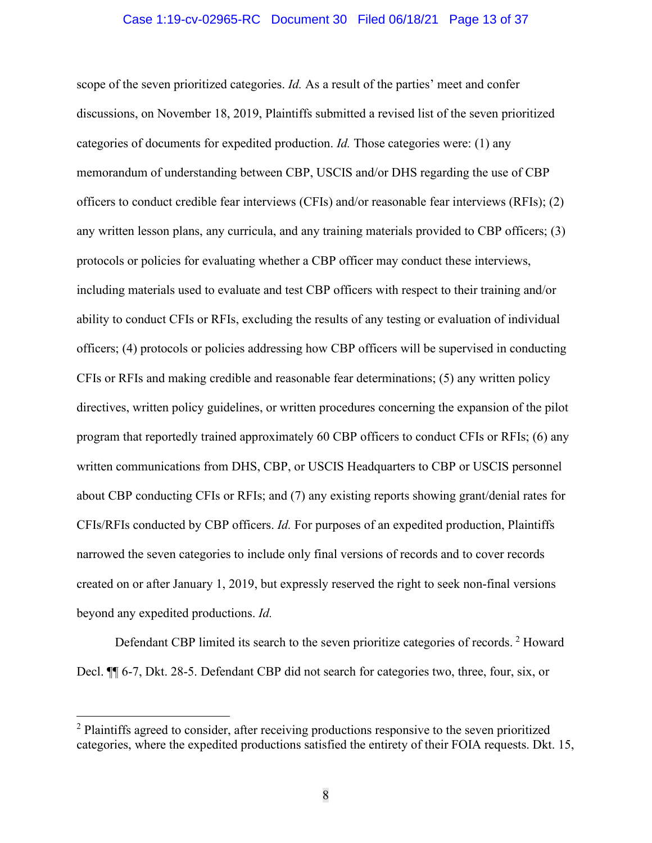#### Case 1:19-cv-02965-RC Document 30 Filed 06/18/21 Page 13 of 37

scope of the seven prioritized categories. *Id.* As a result of the parties' meet and confer discussions, on November 18, 2019, Plaintiffs submitted a revised list of the seven prioritized categories of documents for expedited production. *Id.* Those categories were: (1) any memorandum of understanding between CBP, USCIS and/or DHS regarding the use of CBP officers to conduct credible fear interviews (CFIs) and/or reasonable fear interviews (RFIs); (2) any written lesson plans, any curricula, and any training materials provided to CBP officers; (3) protocols or policies for evaluating whether a CBP officer may conduct these interviews, including materials used to evaluate and test CBP officers with respect to their training and/or ability to conduct CFIs or RFIs, excluding the results of any testing or evaluation of individual officers; (4) protocols or policies addressing how CBP officers will be supervised in conducting CFIs or RFIs and making credible and reasonable fear determinations; (5) any written policy directives, written policy guidelines, or written procedures concerning the expansion of the pilot program that reportedly trained approximately 60 CBP officers to conduct CFIs or RFIs; (6) any written communications from DHS, CBP, or USCIS Headquarters to CBP or USCIS personnel about CBP conducting CFIs or RFIs; and (7) any existing reports showing grant/denial rates for CFIs/RFIs conducted by CBP officers. *Id.* For purposes of an expedited production, Plaintiffs narrowed the seven categories to include only final versions of records and to cover records created on or after January 1, 2019, but expressly reserved the right to seek non-final versions beyond any expedited productions. *Id.* 

Defendant CBP limited its search to the seven prioritize categories of records. <sup>[2](#page-12-0)</sup> Howard Decl. ¶¶ 6-7, Dkt. 28-5. Defendant CBP did not search for categories two, three, four, six, or

<span id="page-12-0"></span><sup>&</sup>lt;sup>2</sup> Plaintiffs agreed to consider, after receiving productions responsive to the seven prioritized categories, where the expedited productions satisfied the entirety of their FOIA requests. Dkt. 15,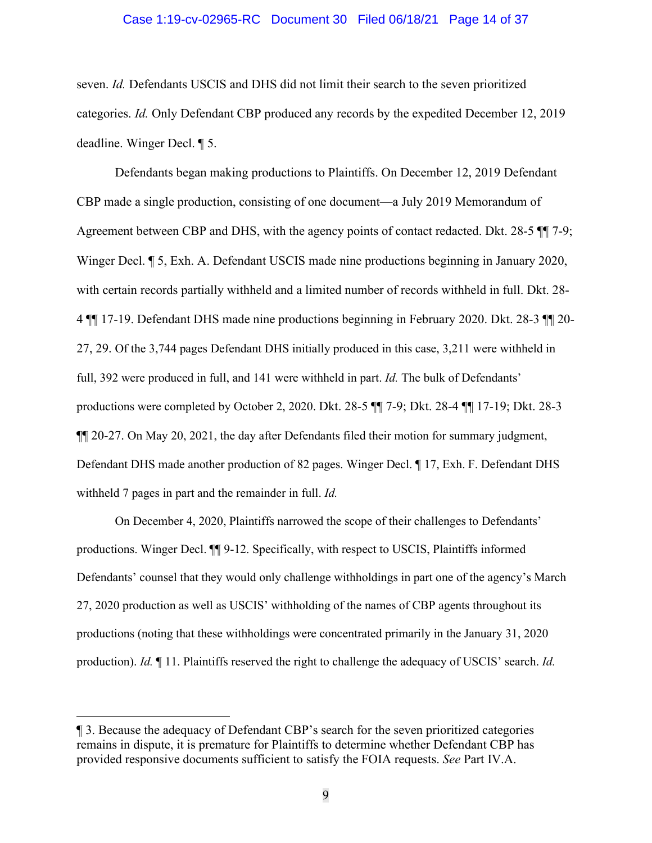#### Case 1:19-cv-02965-RC Document 30 Filed 06/18/21 Page 14 of 37

seven. *Id.* Defendants USCIS and DHS did not limit their search to the seven prioritized categories. *Id.* Only Defendant CBP produced any records by the expedited December 12, 2019 deadline. Winger Decl. ¶ 5.

Defendants began making productions to Plaintiffs. On December 12, 2019 Defendant CBP made a single production, consisting of one document—a July 2019 Memorandum of Agreement between CBP and DHS, with the agency points of contact redacted. Dkt. 28-5 ¶¶ 7-9; Winger Decl. ¶ 5, Exh. A. Defendant USCIS made nine productions beginning in January 2020, with certain records partially withheld and a limited number of records withheld in full. Dkt. 28- 4 ¶¶ 17-19. Defendant DHS made nine productions beginning in February 2020. Dkt. 28-3 ¶¶ 20- 27, 29. Of the 3,744 pages Defendant DHS initially produced in this case, 3,211 were withheld in full, 392 were produced in full, and 141 were withheld in part. *Id.* The bulk of Defendants' productions were completed by October 2, 2020. Dkt. 28-5 ¶¶ 7-9; Dkt. 28-4 ¶¶ 17-19; Dkt. 28-3 ¶¶ 20-27. On May 20, 2021, the day after Defendants filed their motion for summary judgment, Defendant DHS made another production of 82 pages. Winger Decl. ¶ 17, Exh. F. Defendant DHS withheld 7 pages in part and the remainder in full. *Id.*

On December 4, 2020, Plaintiffs narrowed the scope of their challenges to Defendants' productions. Winger Decl. ¶¶ 9-12. Specifically, with respect to USCIS, Plaintiffs informed Defendants' counsel that they would only challenge withholdings in part one of the agency's March 27, 2020 production as well as USCIS' withholding of the names of CBP agents throughout its productions (noting that these withholdings were concentrated primarily in the January 31, 2020 production). *Id.* ¶ 11. Plaintiffs reserved the right to challenge the adequacy of USCIS' search. *Id.* 

<sup>¶ 3.</sup> Because the adequacy of Defendant CBP's search for the seven prioritized categories remains in dispute, it is premature for Plaintiffs to determine whether Defendant CBP has provided responsive documents sufficient to satisfy the FOIA requests. *See* Part IV.A.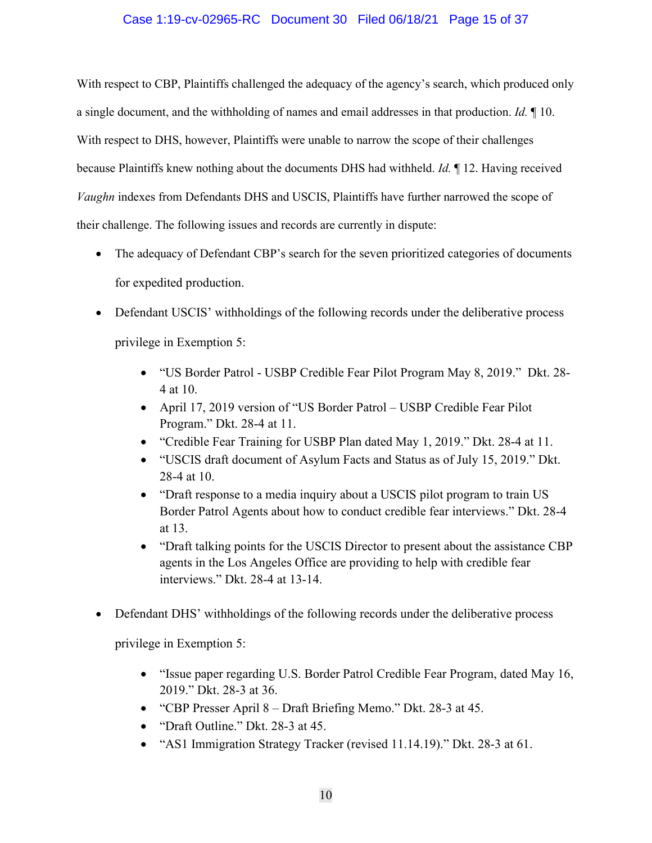## Case 1:19-cv-02965-RC Document 30 Filed 06/18/21 Page 15 of 37

With respect to CBP, Plaintiffs challenged the adequacy of the agency's search, which produced only a single document, and the withholding of names and email addresses in that production. *Id.* ¶ 10. With respect to DHS, however, Plaintiffs were unable to narrow the scope of their challenges because Plaintiffs knew nothing about the documents DHS had withheld. *Id.* ¶ 12. Having received *Vaughn* indexes from Defendants DHS and USCIS, Plaintiffs have further narrowed the scope of their challenge. The following issues and records are currently in dispute:

- The adequacy of Defendant CBP's search for the seven prioritized categories of documents for expedited production.
- Defendant USCIS' withholdings of the following records under the deliberative process privilege in Exemption 5:
	- "US Border Patrol USBP Credible Fear Pilot Program May 8, 2019." Dkt. 28- 4 at 10.
	- April 17, 2019 version of "US Border Patrol USBP Credible Fear Pilot Program." Dkt. 28-4 at 11.
	- "Credible Fear Training for USBP Plan dated May 1, 2019." Dkt. 28-4 at 11.
	- "USCIS draft document of Asylum Facts and Status as of July 15, 2019." Dkt. 28-4 at 10.
	- "Draft response to a media inquiry about a USCIS pilot program to train US Border Patrol Agents about how to conduct credible fear interviews." Dkt. 28-4 at 13.
	- "Draft talking points for the USCIS Director to present about the assistance CBP agents in the Los Angeles Office are providing to help with credible fear interviews." Dkt. 28-4 at 13-14.
- Defendant DHS' withholdings of the following records under the deliberative process

privilege in Exemption 5:

- "Issue paper regarding U.S. Border Patrol Credible Fear Program, dated May 16, 2019." Dkt. 28-3 at 36.
- "CBP Presser April 8 Draft Briefing Memo." Dkt. 28-3 at 45.
- "Draft Outline." Dkt. 28-3 at 45.
- "AS1 Immigration Strategy Tracker (revised 11.14.19)." Dkt. 28-3 at 61.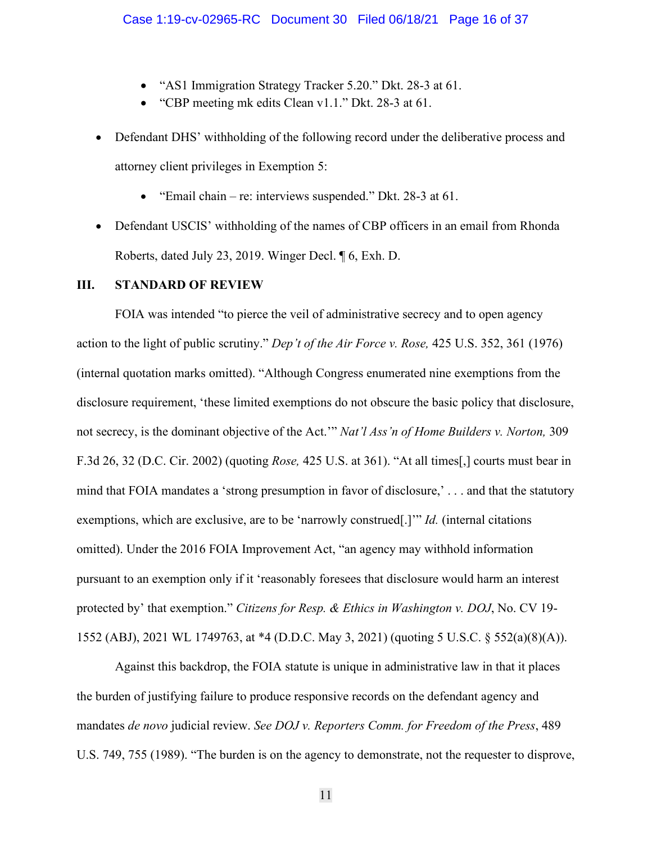- "AS1 Immigration Strategy Tracker 5.20." Dkt. 28-3 at 61.
- "CBP meeting mk edits Clean v1.1." Dkt. 28-3 at 61.
- Defendant DHS' withholding of the following record under the deliberative process and attorney client privileges in Exemption 5:
	- "Email chain re: interviews suspended." Dkt. 28-3 at 61.
- Defendant USCIS' withholding of the names of CBP officers in an email from Rhonda Roberts, dated July 23, 2019. Winger Decl. ¶ 6, Exh. D.

#### <span id="page-15-0"></span>**III. STANDARD OF REVIEW**

FOIA was intended "to pierce the veil of administrative secrecy and to open agency action to the light of public scrutiny." *Dep't of the Air Force v. Rose,* 425 U.S. 352, 361 (1976) (internal quotation marks omitted). "Although Congress enumerated nine exemptions from the disclosure requirement, 'these limited exemptions do not obscure the basic policy that disclosure, not secrecy, is the dominant objective of the Act.'" *Nat'l Ass'n of Home Builders v. Norton,* 309 F.3d 26, 32 (D.C. Cir. 2002) (quoting *Rose,* 425 U.S. at 361). "At all times[,] courts must bear in mind that FOIA mandates a 'strong presumption in favor of disclosure,' . . . and that the statutory exemptions, which are exclusive, are to be 'narrowly construed[.]'" *Id.* (internal citations omitted). Under the 2016 FOIA Improvement Act, "an agency may withhold information pursuant to an exemption only if it 'reasonably foresees that disclosure would harm an interest protected by' that exemption." *Citizens for Resp. & Ethics in Washington v. DOJ*, No. CV 19- 1552 (ABJ), 2021 WL 1749763, at \*4 (D.D.C. May 3, 2021) (quoting 5 U.S.C. § 552(a)(8)(A)).

Against this backdrop, the FOIA statute is unique in administrative law in that it places the burden of justifying failure to produce responsive records on the defendant agency and mandates *de novo* judicial review. *See DOJ v. Reporters Comm. for Freedom of the Press*, 489 U.S. 749, 755 (1989). "The burden is on the agency to demonstrate, not the requester to disprove,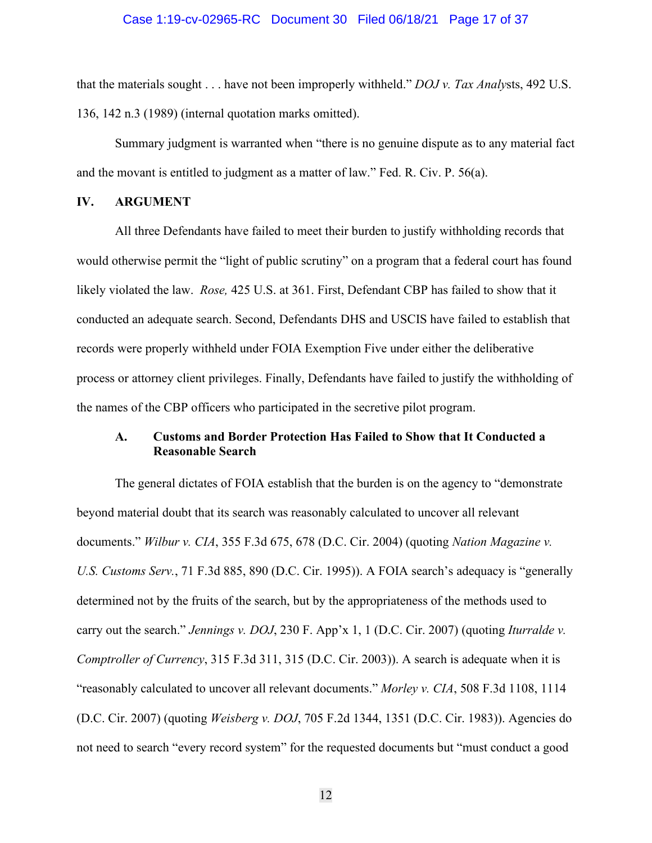#### Case 1:19-cv-02965-RC Document 30 Filed 06/18/21 Page 17 of 37

that the materials sought . . . have not been improperly withheld." *DOJ v. Tax Analy*sts, 492 U.S. 136, 142 n.3 (1989) (internal quotation marks omitted).

Summary judgment is warranted when "there is no genuine dispute as to any material fact and the movant is entitled to judgment as a matter of law." Fed. R. Civ. P. 56(a).

#### <span id="page-16-0"></span>**IV. ARGUMENT**

All three Defendants have failed to meet their burden to justify withholding records that would otherwise permit the "light of public scrutiny" on a program that a federal court has found likely violated the law. *Rose,* 425 U.S. at 361. First, Defendant CBP has failed to show that it conducted an adequate search. Second, Defendants DHS and USCIS have failed to establish that records were properly withheld under FOIA Exemption Five under either the deliberative process or attorney client privileges. Finally, Defendants have failed to justify the withholding of the names of the CBP officers who participated in the secretive pilot program.

## <span id="page-16-1"></span>**A. Customs and Border Protection Has Failed to Show that It Conducted a Reasonable Search**

The general dictates of FOIA establish that the burden is on the agency to "demonstrate beyond material doubt that its search was reasonably calculated to uncover all relevant documents." *Wilbur v. CIA*, 355 F.3d 675, 678 (D.C. Cir. 2004) (quoting *Nation Magazine v. U.S. Customs Serv.*, 71 F.3d 885, 890 (D.C. Cir. 1995)). A FOIA search's adequacy is "generally determined not by the fruits of the search, but by the appropriateness of the methods used to carry out the search." *Jennings v. DOJ*, 230 F. App'x 1, 1 (D.C. Cir. 2007) (quoting *Iturralde v. Comptroller of Currency*, 315 F.3d 311, 315 (D.C. Cir. 2003)). A search is adequate when it is "reasonably calculated to uncover all relevant documents." *Morley v. CIA*, 508 F.3d 1108, 1114 (D.C. Cir. 2007) (quoting *Weisberg v. DOJ*, 705 F.2d 1344, 1351 (D.C. Cir. 1983)). Agencies do not need to search "every record system" for the requested documents but "must conduct a good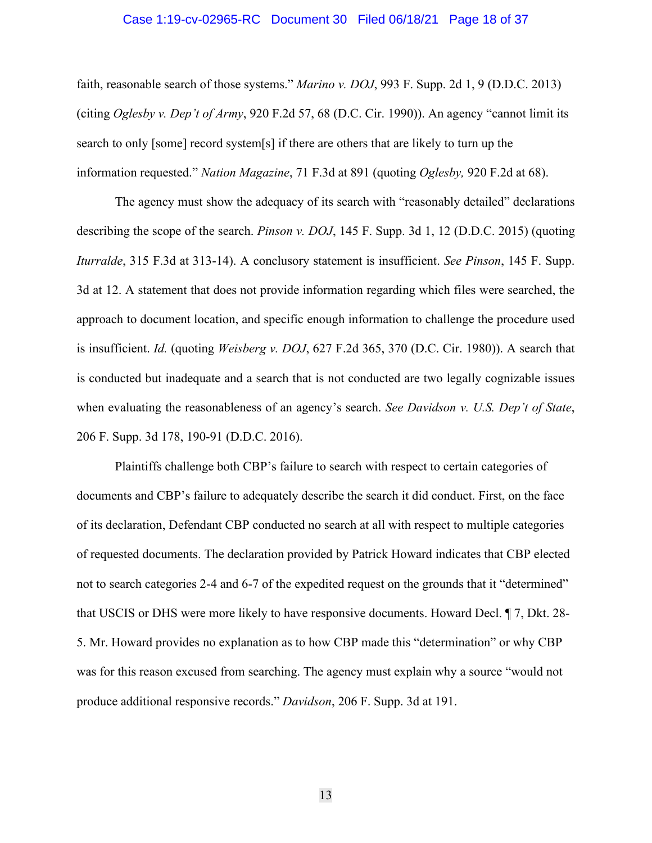#### Case 1:19-cv-02965-RC Document 30 Filed 06/18/21 Page 18 of 37

faith, reasonable search of those systems." *Marino v. DOJ*, 993 F. Supp. 2d 1, 9 (D.D.C. 2013) (citing *Oglesby v. Dep't of Army*, 920 F.2d 57, 68 (D.C. Cir. 1990)). An agency "cannot limit its search to only [some] record system[s] if there are others that are likely to turn up the information requested." *Nation Magazine*, 71 F.3d at 891 (quoting *Oglesby,* 920 F.2d at 68).

The agency must show the adequacy of its search with "reasonably detailed" declarations describing the scope of the search. *Pinson v. DOJ*, 145 F. Supp. 3d 1, 12 (D.D.C. 2015) (quoting *Iturralde*, 315 F.3d at 313-14). A conclusory statement is insufficient. *See Pinson*, 145 F. Supp. 3d at 12. A statement that does not provide information regarding which files were searched, the approach to document location, and specific enough information to challenge the procedure used is insufficient. *Id.* (quoting *Weisberg v. DOJ*, 627 F.2d 365, 370 (D.C. Cir. 1980)). A search that is conducted but inadequate and a search that is not conducted are two legally cognizable issues when evaluating the reasonableness of an agency's search. *See Davidson v. U.S. Dep't of State*, 206 F. Supp. 3d 178, 190-91 (D.D.C. 2016).

Plaintiffs challenge both CBP's failure to search with respect to certain categories of documents and CBP's failure to adequately describe the search it did conduct. First, on the face of its declaration, Defendant CBP conducted no search at all with respect to multiple categories of requested documents. The declaration provided by Patrick Howard indicates that CBP elected not to search categories 2-4 and 6-7 of the expedited request on the grounds that it "determined" that USCIS or DHS were more likely to have responsive documents. Howard Decl. ¶ 7, Dkt. 28- 5. Mr. Howard provides no explanation as to how CBP made this "determination" or why CBP was for this reason excused from searching. The agency must explain why a source "would not produce additional responsive records." *Davidson*, 206 F. Supp. 3d at 191.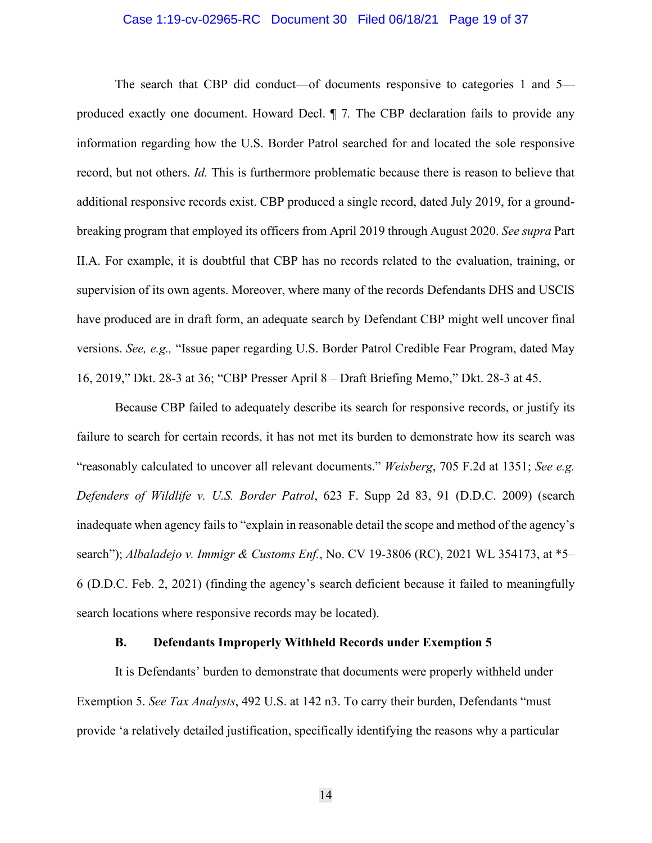#### Case 1:19-cv-02965-RC Document 30 Filed 06/18/21 Page 19 of 37

The search that CBP did conduct—of documents responsive to categories 1 and 5 produced exactly one document. Howard Decl. ¶ 7*.* The CBP declaration fails to provide any information regarding how the U.S. Border Patrol searched for and located the sole responsive record, but not others. *Id.* This is furthermore problematic because there is reason to believe that additional responsive records exist. CBP produced a single record, dated July 2019, for a groundbreaking program that employed its officers from April 2019 through August 2020. *See supra* Part II.A. For example, it is doubtful that CBP has no records related to the evaluation, training, or supervision of its own agents. Moreover, where many of the records Defendants DHS and USCIS have produced are in draft form, an adequate search by Defendant CBP might well uncover final versions. *See, e.g.,* "Issue paper regarding U.S. Border Patrol Credible Fear Program, dated May 16, 2019," Dkt. 28-3 at 36; "CBP Presser April 8 – Draft Briefing Memo," Dkt. 28-3 at 45.

Because CBP failed to adequately describe its search for responsive records, or justify its failure to search for certain records, it has not met its burden to demonstrate how its search was "reasonably calculated to uncover all relevant documents." *Weisberg*, 705 F.2d at 1351; *See e.g. Defenders of Wildlife v. U.S. Border Patrol*, 623 F. Supp 2d 83, 91 (D.D.C. 2009) (search inadequate when agency fails to "explain in reasonable detail the scope and method of the agency's search"); *Albaladejo v. Immigr & Customs Enf.*, No. CV 19-3806 (RC), 2021 WL 354173, at \*5– 6 (D.D.C. Feb. 2, 2021) (finding the agency's search deficient because it failed to meaningfully search locations where responsive records may be located).

### **B. Defendants Improperly Withheld Records under Exemption 5**

<span id="page-18-0"></span>It is Defendants' burden to demonstrate that documents were properly withheld under Exemption 5. *See Tax Analysts*, 492 U.S. at 142 n3. To carry their burden, Defendants "must provide 'a relatively detailed justification, specifically identifying the reasons why a particular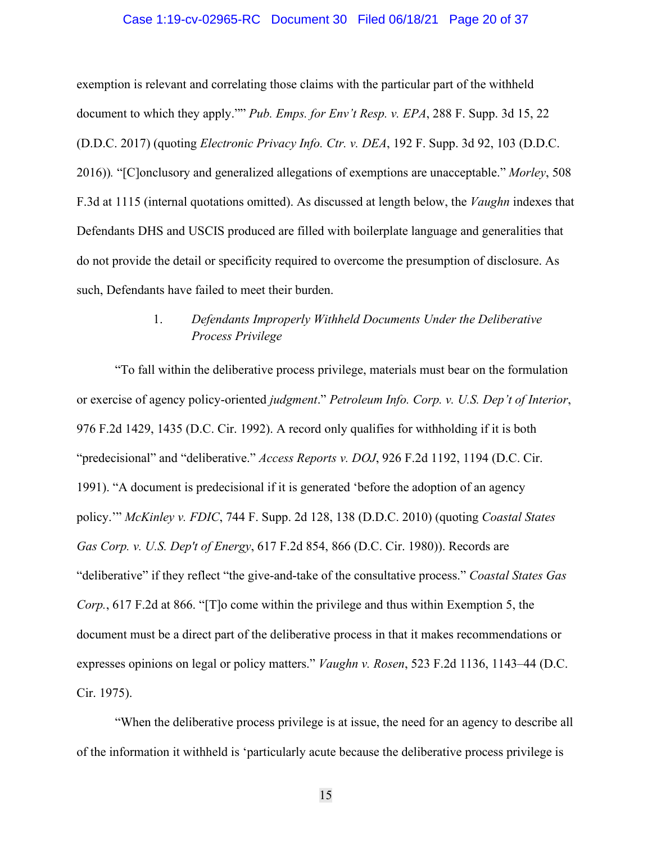#### Case 1:19-cv-02965-RC Document 30 Filed 06/18/21 Page 20 of 37

exemption is relevant and correlating those claims with the particular part of the withheld document to which they apply."" *Pub. Emps. for Env't Resp. v. EPA*, 288 F. Supp. 3d 15, 22 (D.D.C. 2017) (quoting *Electronic Privacy Info. Ctr. v. DEA*, 192 F. Supp. 3d 92, 103 (D.D.C. 2016))*.* "[C]onclusory and generalized allegations of exemptions are unacceptable." *Morley*, 508 F.3d at 1115 (internal quotations omitted). As discussed at length below, the *Vaughn* indexes that Defendants DHS and USCIS produced are filled with boilerplate language and generalities that do not provide the detail or specificity required to overcome the presumption of disclosure. As such, Defendants have failed to meet their burden.

# 1. *Defendants Improperly Withheld Documents Under the Deliberative Process Privilege*

"To fall within the deliberative process privilege, materials must bear on the formulation or exercise of agency policy-oriented *judgment*." *Petroleum Info. Corp. v. U.S. Dep't of Interior*, 976 F.2d 1429, 1435 (D.C. Cir. 1992). A record only qualifies for withholding if it is both "predecisional" and "deliberative." *Access Reports v. DOJ*, 926 F.2d 1192, 1194 (D.C. Cir. 1991). "A document is predecisional if it is generated 'before the adoption of an agency policy.'" *McKinley v. FDIC*, 744 F. Supp. 2d 128, 138 (D.D.C. 2010) (quoting *Coastal States Gas Corp. v. U.S. Dep't of Energy*, 617 F.2d 854, 866 (D.C. Cir. 1980)). Records are "deliberative" if they reflect "the give-and-take of the consultative process." *Coastal States Gas Corp.*, 617 F.2d at 866. "[T]o come within the privilege and thus within Exemption 5, the document must be a direct part of the deliberative process in that it makes recommendations or expresses opinions on legal or policy matters." *Vaughn v. Rosen*, 523 F.2d 1136, 1143–44 (D.C. Cir. 1975).

"When the deliberative process privilege is at issue, the need for an agency to describe all of the information it withheld is 'particularly acute because the deliberative process privilege is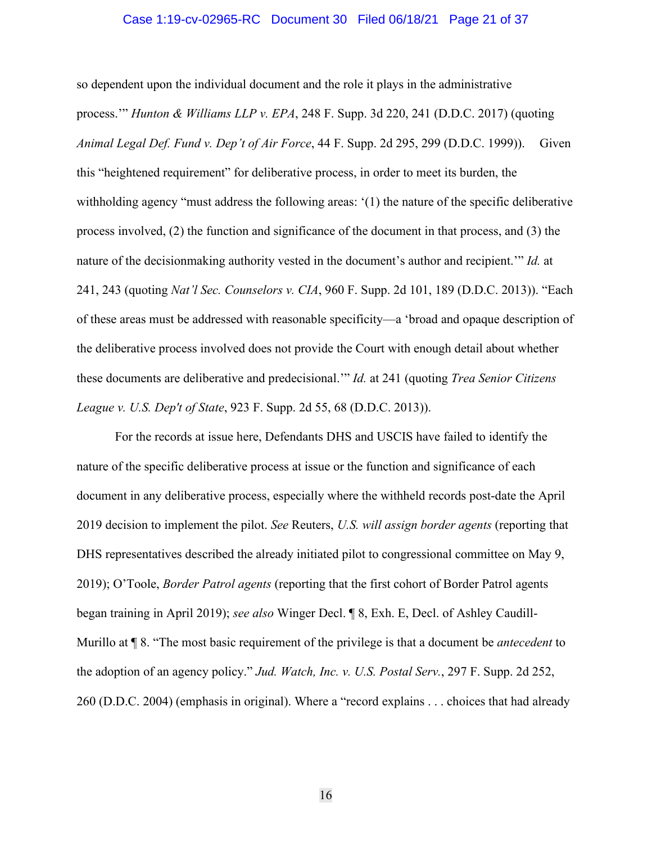#### Case 1:19-cv-02965-RC Document 30 Filed 06/18/21 Page 21 of 37

so dependent upon the individual document and the role it plays in the administrative process.'" *Hunton & Williams LLP v. EPA*, 248 F. Supp. 3d 220, 241 (D.D.C. 2017) (quoting *Animal Legal Def. Fund v. Dep't of Air Force*, 44 F. Supp. 2d 295, 299 (D.D.C. 1999)). Given this "heightened requirement" for deliberative process, in order to meet its burden, the withholding agency "must address the following areas: '(1) the nature of the specific deliberative process involved, (2) the function and significance of the document in that process, and (3) the nature of the decisionmaking authority vested in the document's author and recipient.'" *Id.* at 241, 243 (quoting *Nat'l Sec. Counselors v. CIA*, 960 F. Supp. 2d 101, 189 (D.D.C. 2013)). "Each of these areas must be addressed with reasonable specificity—a 'broad and opaque description of the deliberative process involved does not provide the Court with enough detail about whether these documents are deliberative and predecisional.'" *Id.* at 241 (quoting *Trea Senior Citizens League v. U.S. Dep't of State*, 923 F. Supp. 2d 55, 68 (D.D.C. 2013)).

For the records at issue here, Defendants DHS and USCIS have failed to identify the nature of the specific deliberative process at issue or the function and significance of each document in any deliberative process, especially where the withheld records post-date the April 2019 decision to implement the pilot. *See* Reuters, *U.S. will assign border agents* (reporting that DHS representatives described the already initiated pilot to congressional committee on May 9, 2019); O'Toole, *Border Patrol agents* (reporting that the first cohort of Border Patrol agents began training in April 2019); *see also* Winger Decl. ¶ 8, Exh. E, Decl. of Ashley Caudill-Murillo at ¶ 8. "The most basic requirement of the privilege is that a document be *antecedent* to the adoption of an agency policy." *Jud. Watch, Inc. v. U.S. Postal Serv.*, 297 F. Supp. 2d 252, 260 (D.D.C. 2004) (emphasis in original). Where a "record explains . . . choices that had already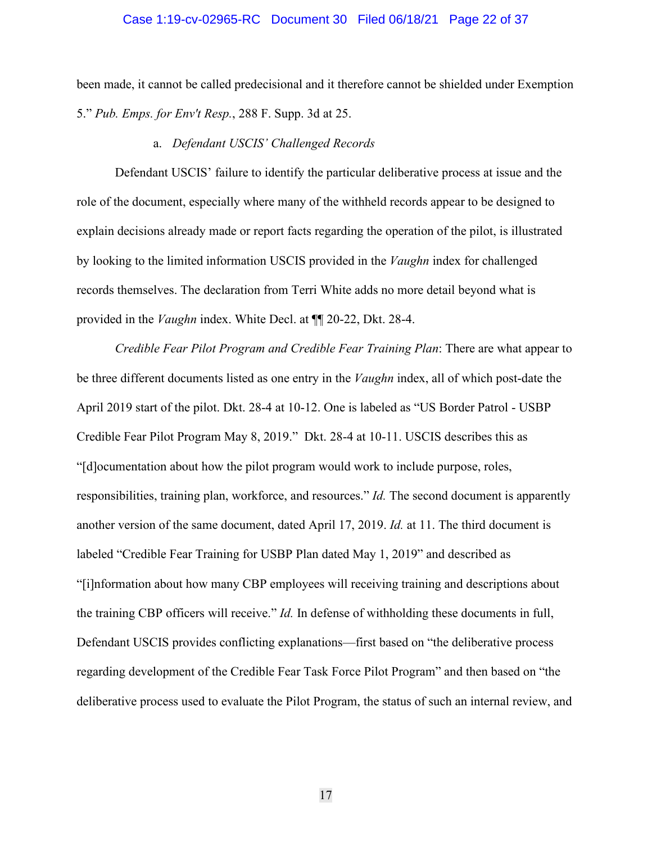#### Case 1:19-cv-02965-RC Document 30 Filed 06/18/21 Page 22 of 37

been made, it cannot be called predecisional and it therefore cannot be shielded under Exemption 5." *Pub. Emps. for Env't Resp.*, 288 F. Supp. 3d at 25.

#### a. *Defendant USCIS' Challenged Records*

Defendant USCIS' failure to identify the particular deliberative process at issue and the role of the document, especially where many of the withheld records appear to be designed to explain decisions already made or report facts regarding the operation of the pilot, is illustrated by looking to the limited information USCIS provided in the *Vaughn* index for challenged records themselves. The declaration from Terri White adds no more detail beyond what is provided in the *Vaughn* index. White Decl. at ¶¶ 20-22, Dkt. 28-4.

*Credible Fear Pilot Program and Credible Fear Training Plan*: There are what appear to be three different documents listed as one entry in the *Vaughn* index, all of which post-date the April 2019 start of the pilot. Dkt. 28-4 at 10-12. One is labeled as "US Border Patrol - USBP Credible Fear Pilot Program May 8, 2019." Dkt. 28-4 at 10-11. USCIS describes this as "[d]ocumentation about how the pilot program would work to include purpose, roles, responsibilities, training plan, workforce, and resources." *Id.* The second document is apparently another version of the same document, dated April 17, 2019. *Id.* at 11. The third document is labeled "Credible Fear Training for USBP Plan dated May 1, 2019" and described as "[i]nformation about how many CBP employees will receiving training and descriptions about the training CBP officers will receive." *Id.* In defense of withholding these documents in full, Defendant USCIS provides conflicting explanations—first based on "the deliberative process regarding development of the Credible Fear Task Force Pilot Program" and then based on "the deliberative process used to evaluate the Pilot Program, the status of such an internal review, and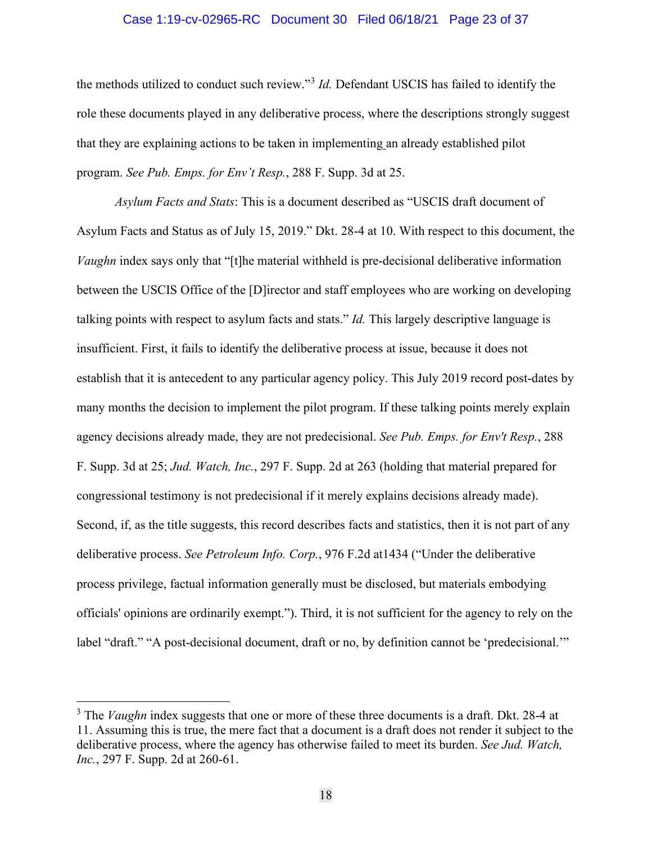#### Case 1:19-cv-02965-RC Document 30 Filed 06/18/21 Page 23 of 37

the methods utilized to conduct such review."[3](#page-22-0) *Id.* Defendant USCIS has failed to identify the role these documents played in any deliberative process, where the descriptions strongly suggest that they are explaining actions to be taken in implementing an already established pilot program. *See Pub. Emps. for Env't Resp.*, 288 F. Supp. 3d at 25.

*Asylum Facts and Stats*: This is a document described as "USCIS draft document of Asylum Facts and Status as of July 15, 2019." Dkt. 28-4 at 10. With respect to this document, the *Vaughn* index says only that "[t]he material withheld is pre-decisional deliberative information between the USCIS Office of the [D]irector and staff employees who are working on developing talking points with respect to asylum facts and stats." *Id.* This largely descriptive language is insufficient. First, it fails to identify the deliberative process at issue, because it does not establish that it is antecedent to any particular agency policy. This July 2019 record post-dates by many months the decision to implement the pilot program. If these talking points merely explain agency decisions already made, they are not predecisional. *See Pub. Emps. for Env't Resp.*, 288 F. Supp. 3d at 25; *Jud. Watch, Inc.*, 297 F. Supp. 2d at 263 (holding that material prepared for congressional testimony is not predecisional if it merely explains decisions already made). Second, if, as the title suggests, this record describes facts and statistics, then it is not part of any deliberative process. *See Petroleum Info. Corp.*, 976 F.2d at1434 ("Under the deliberative process privilege, factual information generally must be disclosed, but materials embodying officials' opinions are ordinarily exempt."). Third, it is not sufficient for the agency to rely on the label "draft." "A post-decisional document, draft or no, by definition cannot be 'predecisional."

<span id="page-22-0"></span><sup>&</sup>lt;sup>3</sup> The *Vaughn* index suggests that one or more of these three documents is a draft. Dkt. 28-4 at 11. Assuming this is true, the mere fact that a document is a draft does not render it subject to the deliberative process, where the agency has otherwise failed to meet its burden. *See Jud. Watch, Inc.*, 297 F. Supp. 2d at 260-61.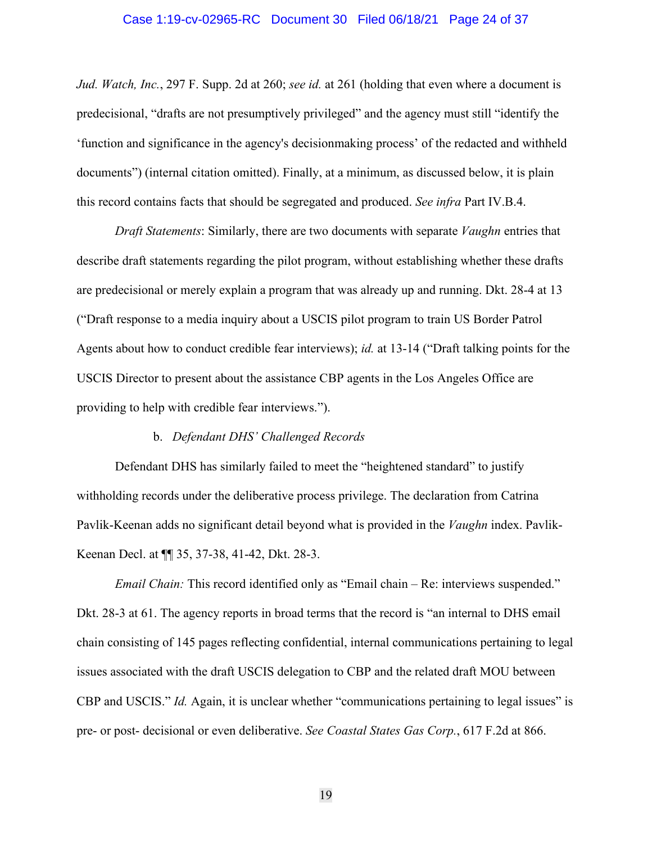#### Case 1:19-cv-02965-RC Document 30 Filed 06/18/21 Page 24 of 37

*Jud. Watch, Inc.*, 297 F. Supp. 2d at 260; *see id.* at 261 (holding that even where a document is predecisional, "drafts are not presumptively privileged" and the agency must still "identify the 'function and significance in the agency's decisionmaking process' of the redacted and withheld documents") (internal citation omitted). Finally, at a minimum, as discussed below, it is plain this record contains facts that should be segregated and produced. *See infra* Part IV.B.4.

*Draft Statements*: Similarly, there are two documents with separate *Vaughn* entries that describe draft statements regarding the pilot program, without establishing whether these drafts are predecisional or merely explain a program that was already up and running. Dkt. 28-4 at 13 ("Draft response to a media inquiry about a USCIS pilot program to train US Border Patrol Agents about how to conduct credible fear interviews); *id.* at 13-14 ("Draft talking points for the USCIS Director to present about the assistance CBP agents in the Los Angeles Office are providing to help with credible fear interviews.").

#### b. *Defendant DHS' Challenged Records*

Defendant DHS has similarly failed to meet the "heightened standard" to justify withholding records under the deliberative process privilege. The declaration from Catrina Pavlik-Keenan adds no significant detail beyond what is provided in the *Vaughn* index. Pavlik-Keenan Decl. at ¶¶ 35, 37-38, 41-42, Dkt. 28-3.

*Email Chain:* This record identified only as "Email chain – Re: interviews suspended." Dkt. 28-3 at 61. The agency reports in broad terms that the record is "an internal to DHS email chain consisting of 145 pages reflecting confidential, internal communications pertaining to legal issues associated with the draft USCIS delegation to CBP and the related draft MOU between CBP and USCIS." *Id.* Again, it is unclear whether "communications pertaining to legal issues" is pre- or post- decisional or even deliberative. *See Coastal States Gas Corp.*, 617 F.2d at 866.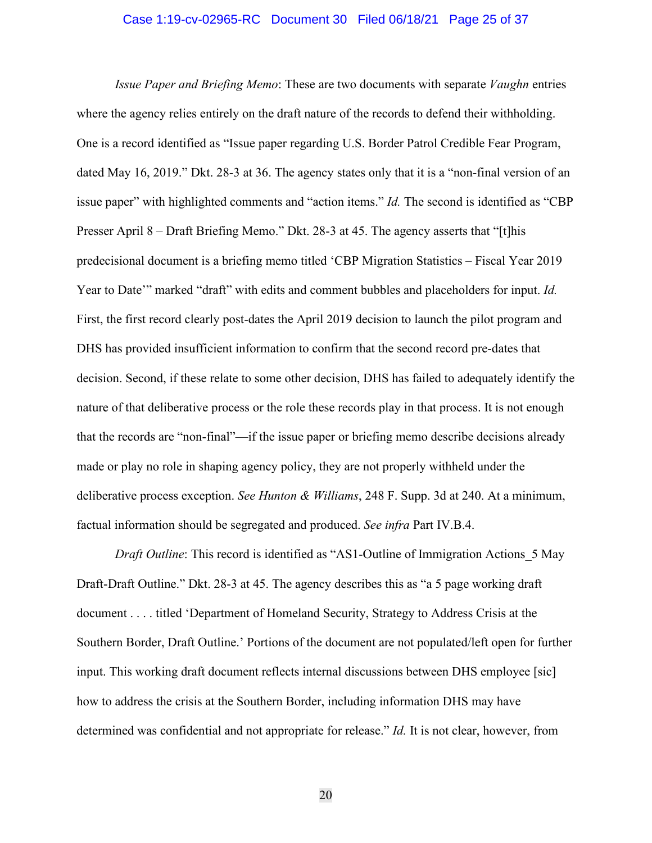#### Case 1:19-cv-02965-RC Document 30 Filed 06/18/21 Page 25 of 37

*Issue Paper and Briefing Memo*: These are two documents with separate *Vaughn* entries where the agency relies entirely on the draft nature of the records to defend their withholding. One is a record identified as "Issue paper regarding U.S. Border Patrol Credible Fear Program, dated May 16, 2019." Dkt. 28-3 at 36. The agency states only that it is a "non-final version of an issue paper" with highlighted comments and "action items." *Id.* The second is identified as "CBP Presser April 8 – Draft Briefing Memo." Dkt. 28-3 at 45. The agency asserts that "[t]his predecisional document is a briefing memo titled 'CBP Migration Statistics – Fiscal Year 2019 Year to Date'" marked "draft" with edits and comment bubbles and placeholders for input. *Id.* First, the first record clearly post-dates the April 2019 decision to launch the pilot program and DHS has provided insufficient information to confirm that the second record pre-dates that decision. Second, if these relate to some other decision, DHS has failed to adequately identify the nature of that deliberative process or the role these records play in that process. It is not enough that the records are "non-final"—if the issue paper or briefing memo describe decisions already made or play no role in shaping agency policy, they are not properly withheld under the deliberative process exception. *See Hunton & Williams*, 248 F. Supp. 3d at 240. At a minimum, factual information should be segregated and produced. *See infra* Part IV.B.4.

*Draft Outline*: This record is identified as "AS1-Outline of Immigration Actions 5 May Draft-Draft Outline." Dkt. 28-3 at 45. The agency describes this as "a 5 page working draft document . . . . titled 'Department of Homeland Security, Strategy to Address Crisis at the Southern Border, Draft Outline.' Portions of the document are not populated/left open for further input. This working draft document reflects internal discussions between DHS employee [sic] how to address the crisis at the Southern Border, including information DHS may have determined was confidential and not appropriate for release." *Id.* It is not clear, however, from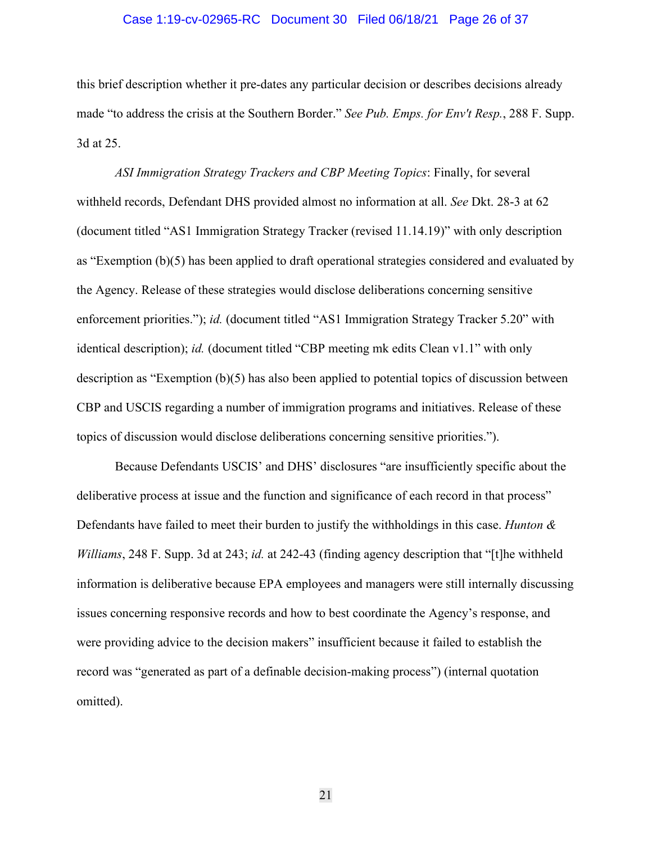#### Case 1:19-cv-02965-RC Document 30 Filed 06/18/21 Page 26 of 37

this brief description whether it pre-dates any particular decision or describes decisions already made "to address the crisis at the Southern Border." *See Pub. Emps. for Env't Resp.*, 288 F. Supp. 3d at 25.

*ASI Immigration Strategy Trackers and CBP Meeting Topics*: Finally, for several withheld records, Defendant DHS provided almost no information at all. *See* Dkt. 28-3 at 62 (document titled "AS1 Immigration Strategy Tracker (revised 11.14.19)" with only description as "Exemption (b)(5) has been applied to draft operational strategies considered and evaluated by the Agency. Release of these strategies would disclose deliberations concerning sensitive enforcement priorities."); *id.* (document titled "AS1 Immigration Strategy Tracker 5.20" with identical description); *id.* (document titled "CBP meeting mk edits Clean v1.1" with only description as "Exemption (b)(5) has also been applied to potential topics of discussion between CBP and USCIS regarding a number of immigration programs and initiatives. Release of these topics of discussion would disclose deliberations concerning sensitive priorities.").

Because Defendants USCIS' and DHS' disclosures "are insufficiently specific about the deliberative process at issue and the function and significance of each record in that process" Defendants have failed to meet their burden to justify the withholdings in this case. *Hunton & Williams*, 248 F. Supp. 3d at 243; *id.* at 242-43 (finding agency description that "[t]he withheld information is deliberative because EPA employees and managers were still internally discussing issues concerning responsive records and how to best coordinate the Agency's response, and were providing advice to the decision makers" insufficient because it failed to establish the record was "generated as part of a definable decision-making process") (internal quotation omitted).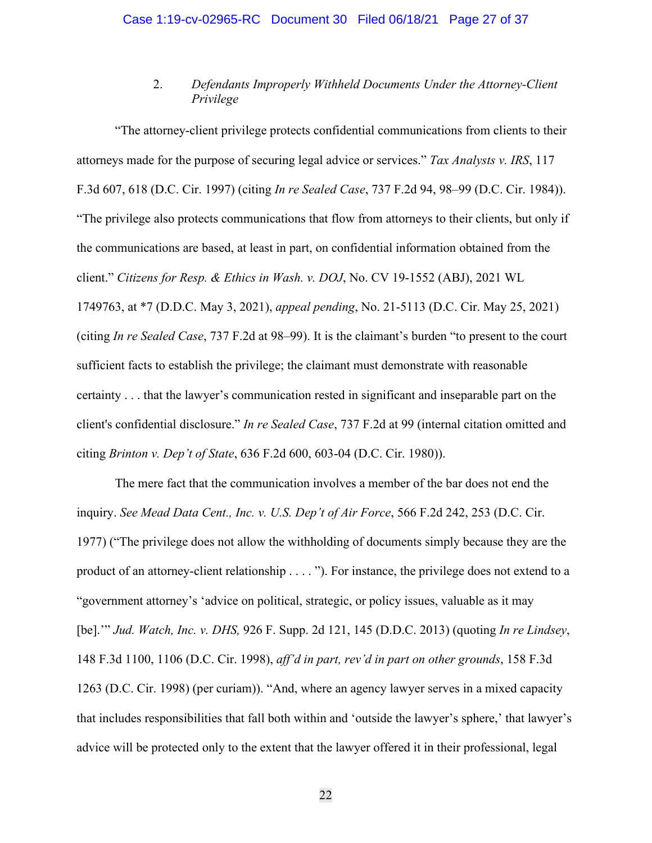## 2. *Defendants Improperly Withheld Documents Under the Attorney-Client Privilege*

"The attorney-client privilege protects confidential communications from clients to their attorneys made for the purpose of securing legal advice or services." *Tax Analysts v. IRS*, 117 F.3d 607, 618 (D.C. Cir. 1997) (citing *In re Sealed Case*, 737 F.2d 94, 98–99 (D.C. Cir. 1984)). "The privilege also protects communications that flow from attorneys to their clients, but only if the communications are based, at least in part, on confidential information obtained from the client." *Citizens for Resp. & Ethics in Wash. v. DOJ*, No. CV 19-1552 (ABJ), 2021 WL 1749763, at \*7 (D.D.C. May 3, 2021), *appeal pending*, No. 21-5113 (D.C. Cir. May 25, 2021) (citing *In re Sealed Case*, 737 F.2d at 98–99). It is the claimant's burden "to present to the court sufficient facts to establish the privilege; the claimant must demonstrate with reasonable certainty . . . that the lawyer's communication rested in significant and inseparable part on the client's confidential disclosure." *In re Sealed Case*, 737 F.2d at 99 (internal citation omitted and citing *Brinton v. Dep't of State*, 636 F.2d 600, 603-04 (D.C. Cir. 1980)).

The mere fact that the communication involves a member of the bar does not end the inquiry. *See Mead Data Cent., Inc. v. U.S. Dep't of Air Force*, 566 F.2d 242, 253 (D.C. Cir. 1977) ("The privilege does not allow the withholding of documents simply because they are the product of an attorney-client relationship . . . . "). For instance, the privilege does not extend to a "government attorney's 'advice on political, strategic, or policy issues, valuable as it may [be].'" *Jud. Watch, Inc. v. DHS,* 926 F. Supp. 2d 121, 145 (D.D.C. 2013) (quoting *In re Lindsey*, 148 F.3d 1100, 1106 (D.C. Cir. 1998), *aff'd in part, rev'd in part on other grounds*, 158 F.3d 1263 (D.C. Cir. 1998) (per curiam)). "And, where an agency lawyer serves in a mixed capacity that includes responsibilities that fall both within and 'outside the lawyer's sphere,' that lawyer's advice will be protected only to the extent that the lawyer offered it in their professional, legal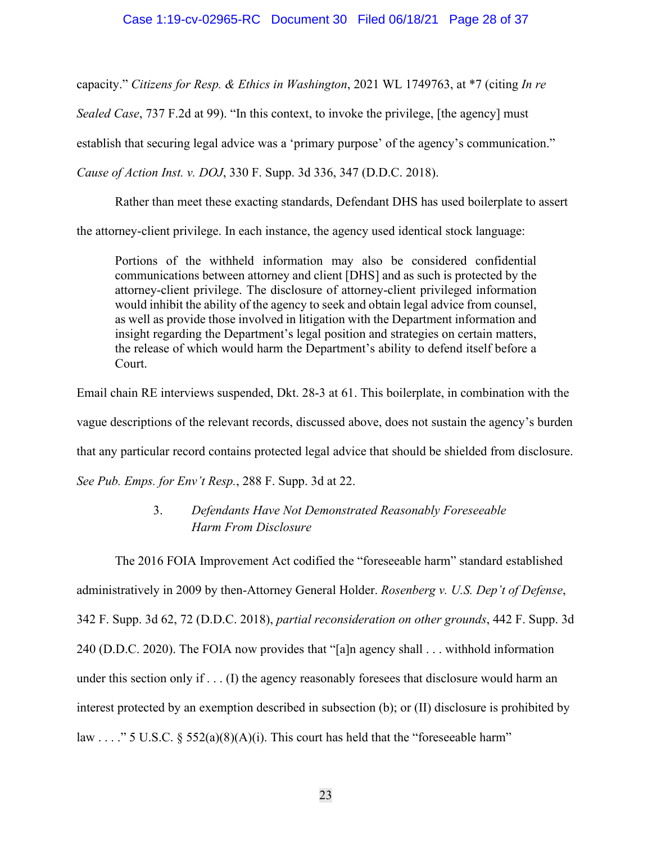capacity." *Citizens for Resp. & Ethics in Washington*, 2021 WL 1749763, at \*7 (citing *In re* 

*Sealed Case*, 737 F.2d at 99). "In this context, to invoke the privilege, [the agency] must

establish that securing legal advice was a 'primary purpose' of the agency's communication."

*Cause of Action Inst. v. DOJ*, 330 F. Supp. 3d 336, 347 (D.D.C. 2018).

Rather than meet these exacting standards, Defendant DHS has used boilerplate to assert

the attorney-client privilege. In each instance, the agency used identical stock language:

Portions of the withheld information may also be considered confidential communications between attorney and client [DHS] and as such is protected by the attorney-client privilege. The disclosure of attorney-client privileged information would inhibit the ability of the agency to seek and obtain legal advice from counsel, as well as provide those involved in litigation with the Department information and insight regarding the Department's legal position and strategies on certain matters, the release of which would harm the Department's ability to defend itself before a Court.

Email chain RE interviews suspended, Dkt. 28-3 at 61. This boilerplate, in combination with the

vague descriptions of the relevant records, discussed above, does not sustain the agency's burden

that any particular record contains protected legal advice that should be shielded from disclosure.

*See Pub. Emps. for Env't Resp.*, 288 F. Supp. 3d at 22.

# 3. *Defendants Have Not Demonstrated Reasonably Foreseeable Harm From Disclosure*

The 2016 FOIA Improvement Act codified the "foreseeable harm" standard established administratively in 2009 by then-Attorney General Holder. *Rosenberg v. U.S. Dep't of Defense*, 342 F. Supp. 3d 62, 72 (D.D.C. 2018), *partial reconsideration on other grounds*, 442 F. Supp. 3d 240 (D.D.C. 2020). The FOIA now provides that "[a]n agency shall . . . withhold information under this section only if . . . (I) the agency reasonably foresees that disclosure would harm an interest protected by an exemption described in subsection (b); or (II) disclosure is prohibited by law . . . ." 5 U.S.C. § 552(a)(8)(A)(i). This court has held that the "foreseeable harm"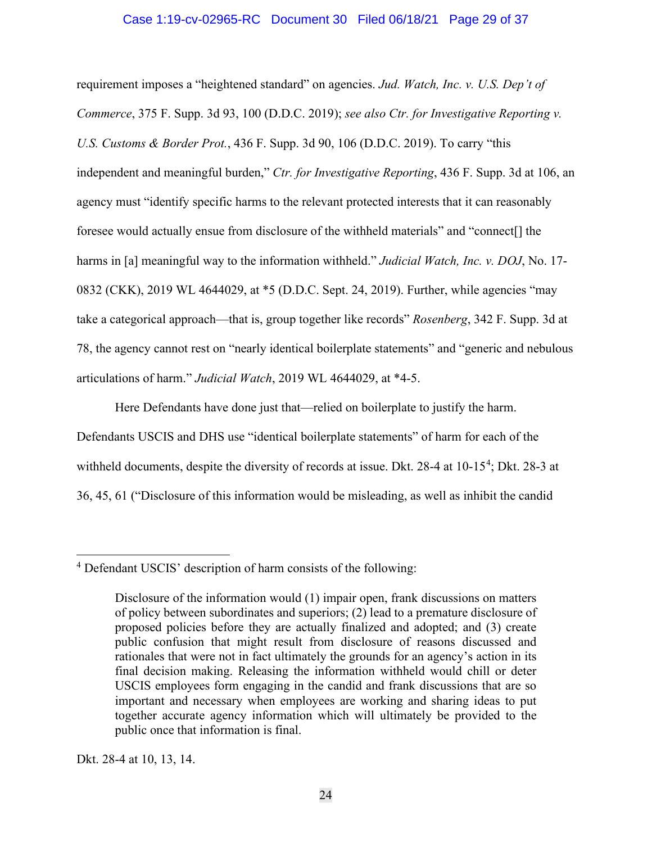#### Case 1:19-cv-02965-RC Document 30 Filed 06/18/21 Page 29 of 37

requirement imposes a "heightened standard" on agencies. *Jud. Watch, Inc. v. U.S. Dep't of Commerce*, 375 F. Supp. 3d 93, 100 (D.D.C. 2019); *see also Ctr. for Investigative Reporting v. U.S. Customs & Border Prot.*, 436 F. Supp. 3d 90, 106 (D.D.C. 2019). To carry "this independent and meaningful burden," *Ctr. for Investigative Reporting*, 436 F. Supp. 3d at 106, an agency must "identify specific harms to the relevant protected interests that it can reasonably foresee would actually ensue from disclosure of the withheld materials" and "connect[] the harms in [a] meaningful way to the information withheld." *Judicial Watch, Inc. v. DOJ*, No. 17- 0832 (CKK), 2019 WL 4644029, at \*5 (D.D.C. Sept. 24, 2019). Further, while agencies "may take a categorical approach—that is, group together like records" *Rosenberg*, 342 F. Supp. 3d at 78, the agency cannot rest on "nearly identical boilerplate statements" and "generic and nebulous articulations of harm." *Judicial Watch*, 2019 WL 4644029, at \*4-5.

Here Defendants have done just that—relied on boilerplate to justify the harm. Defendants USCIS and DHS use "identical boilerplate statements" of harm for each of the withheld documents, despite the diversity of records at issue. Dkt. 28-[4](#page-28-0) at  $10-15^4$ ; Dkt. 28-3 at 36, 45, 61 ("Disclosure of this information would be misleading, as well as inhibit the candid

Dkt. 28-4 at 10, 13, 14.

<span id="page-28-0"></span><sup>4</sup> Defendant USCIS' description of harm consists of the following:

Disclosure of the information would (1) impair open, frank discussions on matters of policy between subordinates and superiors; (2) lead to a premature disclosure of proposed policies before they are actually finalized and adopted; and (3) create public confusion that might result from disclosure of reasons discussed and rationales that were not in fact ultimately the grounds for an agency's action in its final decision making. Releasing the information withheld would chill or deter USCIS employees form engaging in the candid and frank discussions that are so important and necessary when employees are working and sharing ideas to put together accurate agency information which will ultimately be provided to the public once that information is final.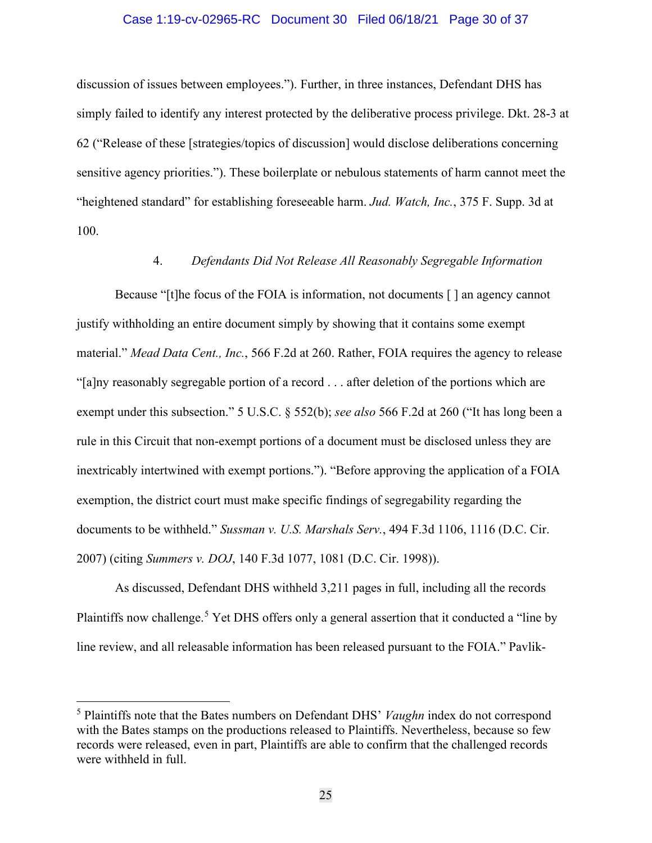#### Case 1:19-cv-02965-RC Document 30 Filed 06/18/21 Page 30 of 37

discussion of issues between employees."). Further, in three instances, Defendant DHS has simply failed to identify any interest protected by the deliberative process privilege. Dkt. 28-3 at 62 ("Release of these [strategies/topics of discussion] would disclose deliberations concerning sensitive agency priorities."). These boilerplate or nebulous statements of harm cannot meet the "heightened standard" for establishing foreseeable harm. *Jud. Watch, Inc.*, 375 F. Supp. 3d at 100.

### 4. *Defendants Did Not Release All Reasonably Segregable Information*

Because "[t]he focus of the FOIA is information, not documents [ ] an agency cannot justify withholding an entire document simply by showing that it contains some exempt material." *Mead Data Cent., Inc.*, 566 F.2d at 260. Rather, FOIA requires the agency to release "[a]ny reasonably segregable portion of a record . . . after deletion of the portions which are exempt under this subsection." 5 U.S.C. § 552(b); *see also* 566 F.2d at 260 ("It has long been a rule in this Circuit that non-exempt portions of a document must be disclosed unless they are inextricably intertwined with exempt portions."). "Before approving the application of a FOIA exemption, the district court must make specific findings of segregability regarding the documents to be withheld." *Sussman v. U.S. Marshals Serv.*, 494 F.3d 1106, 1116 (D.C. Cir. 2007) (citing *Summers v. DOJ*, 140 F.3d 1077, 1081 (D.C. Cir. 1998)).

As discussed, Defendant DHS withheld 3,211 pages in full, including all the records Plaintiffs now challenge.<sup>[5](#page-29-0)</sup> Yet DHS offers only a general assertion that it conducted a "line by line review, and all releasable information has been released pursuant to the FOIA." Pavlik-

<span id="page-29-0"></span><sup>5</sup> Plaintiffs note that the Bates numbers on Defendant DHS' *Vaughn* index do not correspond with the Bates stamps on the productions released to Plaintiffs. Nevertheless, because so few records were released, even in part, Plaintiffs are able to confirm that the challenged records were withheld in full.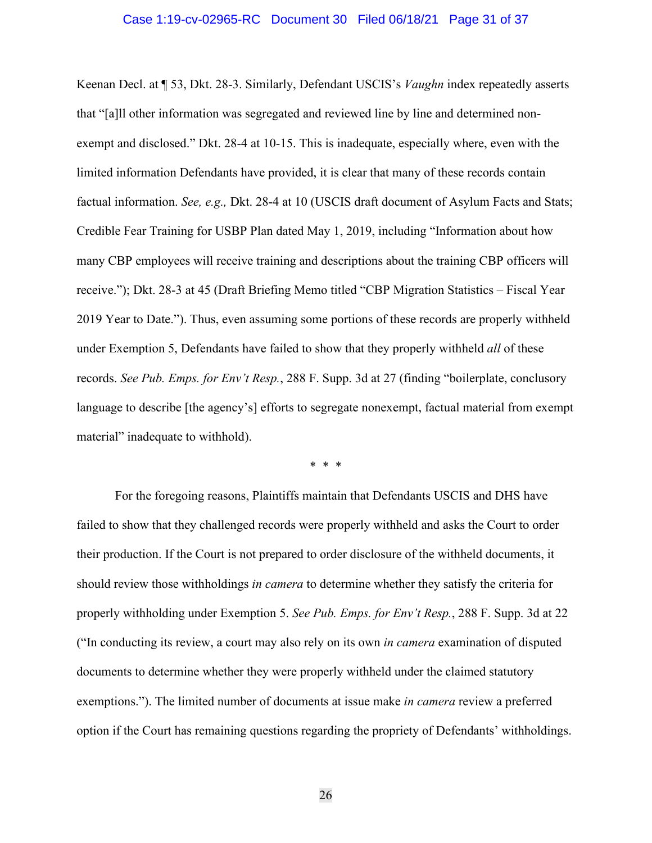#### Case 1:19-cv-02965-RC Document 30 Filed 06/18/21 Page 31 of 37

Keenan Decl. at ¶ 53, Dkt. 28-3. Similarly, Defendant USCIS's *Vaughn* index repeatedly asserts that "[a]ll other information was segregated and reviewed line by line and determined nonexempt and disclosed." Dkt. 28-4 at 10-15. This is inadequate, especially where, even with the limited information Defendants have provided, it is clear that many of these records contain factual information. *See, e.g.,* Dkt. 28-4 at 10 (USCIS draft document of Asylum Facts and Stats; Credible Fear Training for USBP Plan dated May 1, 2019, including "Information about how many CBP employees will receive training and descriptions about the training CBP officers will receive."); Dkt. 28-3 at 45 (Draft Briefing Memo titled "CBP Migration Statistics – Fiscal Year 2019 Year to Date."). Thus, even assuming some portions of these records are properly withheld under Exemption 5, Defendants have failed to show that they properly withheld *all* of these records. *See Pub. Emps. for Env't Resp.*, 288 F. Supp. 3d at 27 (finding "boilerplate, conclusory language to describe [the agency's] efforts to segregate nonexempt, factual material from exempt material" inadequate to withhold).

\* \* \*

For the foregoing reasons, Plaintiffs maintain that Defendants USCIS and DHS have failed to show that they challenged records were properly withheld and asks the Court to order their production. If the Court is not prepared to order disclosure of the withheld documents, it should review those withholdings *in camera* to determine whether they satisfy the criteria for properly withholding under Exemption 5. *See Pub. Emps. for Env't Resp.*, 288 F. Supp. 3d at 22 ("In conducting its review, a court may also rely on its own *in camera* examination of disputed documents to determine whether they were properly withheld under the claimed statutory exemptions."). The limited number of documents at issue make *in camera* review a preferred option if the Court has remaining questions regarding the propriety of Defendants' withholdings.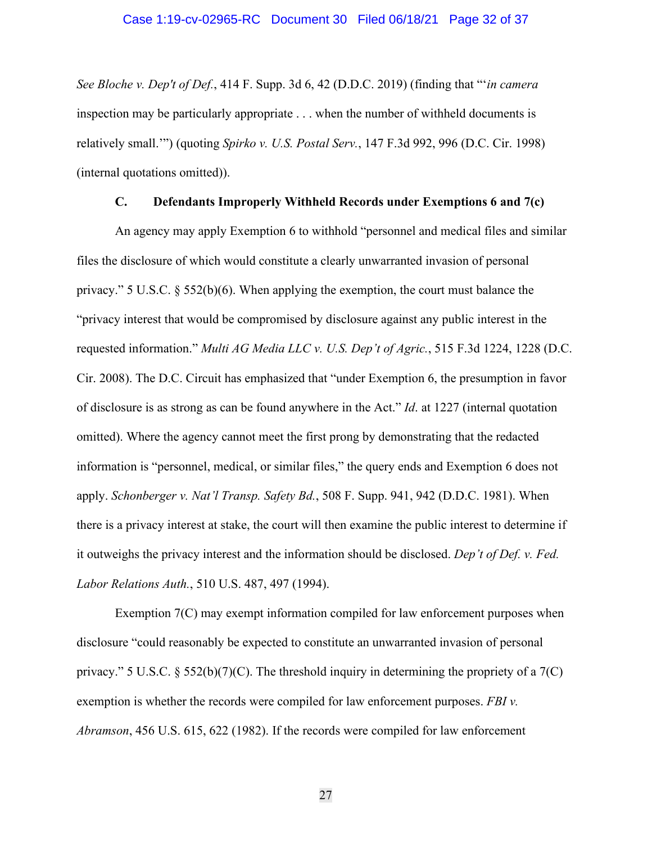*See Bloche v. Dep't of Def.*, 414 F. Supp. 3d 6, 42 (D.D.C. 2019) (finding that "'*in camera* inspection may be particularly appropriate . . . when the number of withheld documents is relatively small.'") (quoting *Spirko v. U.S. Postal Serv.*, 147 F.3d 992, 996 (D.C. Cir. 1998) (internal quotations omitted)).

### **C. Defendants Improperly Withheld Records under Exemptions 6 and 7(c)**

<span id="page-31-0"></span>An agency may apply Exemption 6 to withhold "personnel and medical files and similar files the disclosure of which would constitute a clearly unwarranted invasion of personal privacy." 5 U.S.C. § 552(b)(6). When applying the exemption, the court must balance the "privacy interest that would be compromised by disclosure against any public interest in the requested information." *Multi AG Media LLC v. U.S. Dep't of Agric.*, 515 F.3d 1224, 1228 (D.C. Cir. 2008). The D.C. Circuit has emphasized that "under Exemption 6, the presumption in favor of disclosure is as strong as can be found anywhere in the Act." *Id*. at 1227 (internal quotation omitted). Where the agency cannot meet the first prong by demonstrating that the redacted information is "personnel, medical, or similar files," the query ends and Exemption 6 does not apply. *Schonberger v. Nat'l Transp. Safety Bd.*, 508 F. Supp. 941, 942 (D.D.C. 1981). When there is a privacy interest at stake, the court will then examine the public interest to determine if it outweighs the privacy interest and the information should be disclosed. *Dep't of Def. v. Fed. Labor Relations Auth.*, 510 U.S. 487, 497 (1994).

Exemption 7(C) may exempt information compiled for law enforcement purposes when disclosure "could reasonably be expected to constitute an unwarranted invasion of personal privacy." 5 U.S.C.  $\S 552(b)(7)(C)$ . The threshold inquiry in determining the propriety of a 7(C) exemption is whether the records were compiled for law enforcement purposes. *FBI v. Abramson*, 456 U.S. 615, 622 (1982). If the records were compiled for law enforcement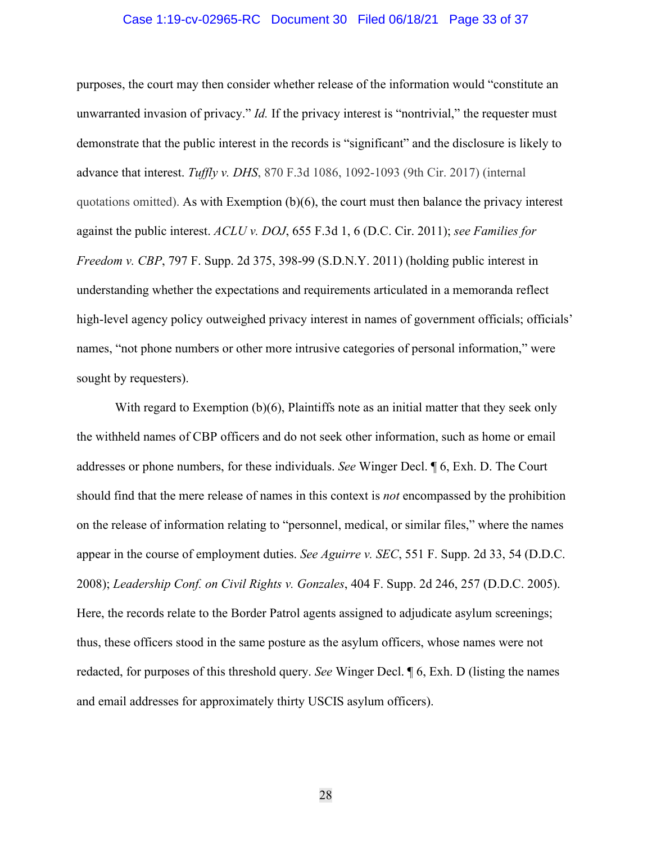#### Case 1:19-cv-02965-RC Document 30 Filed 06/18/21 Page 33 of 37

purposes, the court may then consider whether release of the information would "constitute an unwarranted invasion of privacy." *Id.* If the privacy interest is "nontrivial," the requester must demonstrate that the public interest in the records is "significant" and the disclosure is likely to advance that interest. *Tuffly v. DHS*, 870 F.3d 1086, 1092-1093 (9th Cir. 2017) (internal quotations omitted). As with Exemption  $(b)(6)$ , the court must then balance the privacy interest against the public interest. *ACLU v. DOJ*, 655 F.3d 1, 6 (D.C. Cir. 2011); *see Families for Freedom v. CBP*, 797 F. Supp. 2d 375, 398-99 (S.D.N.Y. 2011) (holding public interest in understanding whether the expectations and requirements articulated in a memoranda reflect high-level agency policy outweighed privacy interest in names of government officials; officials' names, "not phone numbers or other more intrusive categories of personal information," were sought by requesters).

With regard to Exemption (b)(6), Plaintiffs note as an initial matter that they seek only the withheld names of CBP officers and do not seek other information, such as home or email addresses or phone numbers, for these individuals. *See* Winger Decl. ¶ 6, Exh. D. The Court should find that the mere release of names in this context is *not* encompassed by the prohibition on the release of information relating to "personnel, medical, or similar files," where the names appear in the course of employment duties. *See Aguirre v. SEC*, 551 F. Supp. 2d 33, 54 (D.D.C. 2008); *Leadership Conf. on Civil Rights v. Gonzales*, 404 F. Supp. 2d 246, 257 (D.D.C. 2005). Here, the records relate to the Border Patrol agents assigned to adjudicate asylum screenings; thus, these officers stood in the same posture as the asylum officers, whose names were not redacted, for purposes of this threshold query. *See* Winger Decl. ¶ 6, Exh. D (listing the names and email addresses for approximately thirty USCIS asylum officers).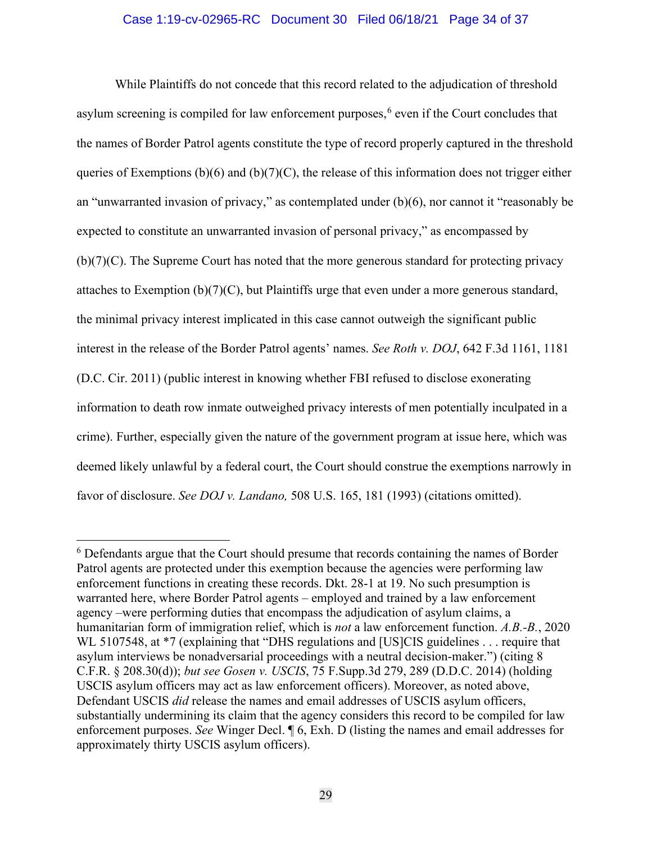### Case 1:19-cv-02965-RC Document 30 Filed 06/18/21 Page 34 of 37

While Plaintiffs do not concede that this record related to the adjudication of threshold asylum screening is compiled for law enforcement purposes,<sup>[6](#page-33-0)</sup> even if the Court concludes that the names of Border Patrol agents constitute the type of record properly captured in the threshold queries of Exemptions (b)(6) and (b)(7)(C), the release of this information does not trigger either an "unwarranted invasion of privacy," as contemplated under (b)(6), nor cannot it "reasonably be expected to constitute an unwarranted invasion of personal privacy," as encompassed by (b)(7)(C). The Supreme Court has noted that the more generous standard for protecting privacy attaches to Exemption  $(b)(7)(C)$ , but Plaintiffs urge that even under a more generous standard, the minimal privacy interest implicated in this case cannot outweigh the significant public interest in the release of the Border Patrol agents' names. *See Roth v. DOJ*, 642 F.3d 1161, 1181 (D.C. Cir. 2011) (public interest in knowing whether FBI refused to disclose exonerating information to death row inmate outweighed privacy interests of men potentially inculpated in a crime). Further, especially given the nature of the government program at issue here, which was deemed likely unlawful by a federal court, the Court should construe the exemptions narrowly in favor of disclosure. *See DOJ v. Landano,* 508 U.S. 165, 181 (1993) (citations omitted).

<span id="page-33-0"></span><sup>&</sup>lt;sup>6</sup> Defendants argue that the Court should presume that records containing the names of Border Patrol agents are protected under this exemption because the agencies were performing law enforcement functions in creating these records. Dkt. 28-1 at 19. No such presumption is warranted here, where Border Patrol agents – employed and trained by a law enforcement agency –were performing duties that encompass the adjudication of asylum claims, a humanitarian form of immigration relief, which is *not* a law enforcement function. *A.B.-B.*, 2020 WL 5107548, at \*7 (explaining that "DHS regulations and [US]CIS guidelines . . . require that asylum interviews be nonadversarial proceedings with a neutral decision-maker.") (citing 8 C.F.R. § 208.30(d)); *but see Gosen v. USCIS*, 75 F.Supp.3d 279, 289 (D.D.C. 2014) (holding USCIS asylum officers may act as law enforcement officers). Moreover, as noted above, Defendant USCIS *did* release the names and email addresses of USCIS asylum officers, substantially undermining its claim that the agency considers this record to be compiled for law enforcement purposes. *See* Winger Decl. ¶ 6, Exh. D (listing the names and email addresses for approximately thirty USCIS asylum officers).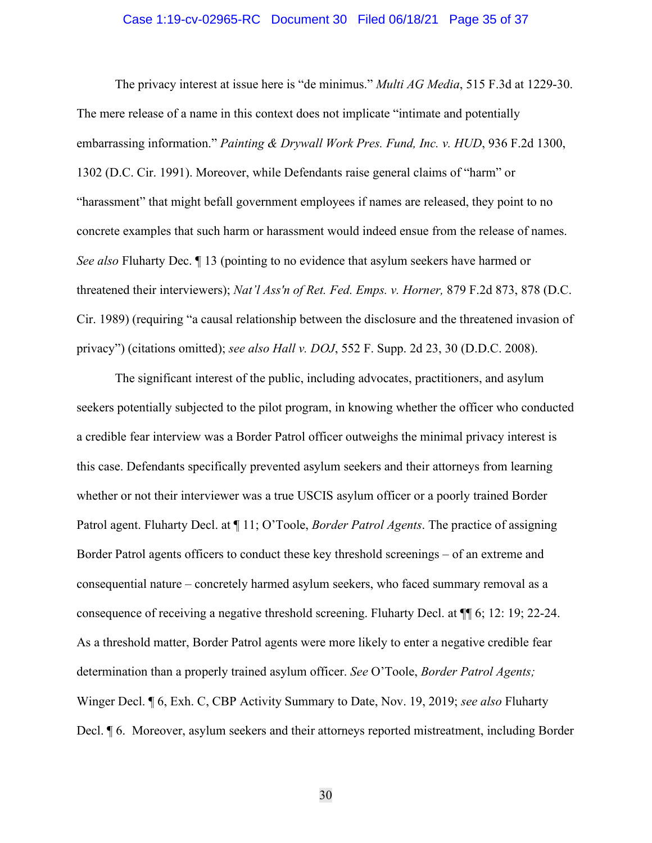#### Case 1:19-cv-02965-RC Document 30 Filed 06/18/21 Page 35 of 37

The privacy interest at issue here is "de minimus." *Multi AG Media*, 515 F.3d at 1229-30. The mere release of a name in this context does not implicate "intimate and potentially embarrassing information." *Painting & Drywall Work Pres. Fund, Inc. v. HUD*, 936 F.2d 1300, 1302 (D.C. Cir. 1991). Moreover, while Defendants raise general claims of "harm" or "harassment" that might befall government employees if names are released, they point to no concrete examples that such harm or harassment would indeed ensue from the release of names. *See also* Fluharty Dec. ¶ 13 (pointing to no evidence that asylum seekers have harmed or threatened their interviewers); *Nat'l Ass'n of Ret. Fed. Emps. v. Horner,* 879 F.2d 873, 878 (D.C. Cir. 1989) (requiring "a causal relationship between the disclosure and the threatened invasion of privacy") (citations omitted); *see also Hall v. DOJ*, 552 F. Supp. 2d 23, 30 (D.D.C. 2008).

The significant interest of the public, including advocates, practitioners, and asylum seekers potentially subjected to the pilot program, in knowing whether the officer who conducted a credible fear interview was a Border Patrol officer outweighs the minimal privacy interest is this case. Defendants specifically prevented asylum seekers and their attorneys from learning whether or not their interviewer was a true USCIS asylum officer or a poorly trained Border Patrol agent. Fluharty Decl. at ¶ 11; O'Toole, *Border Patrol Agents*. The practice of assigning Border Patrol agents officers to conduct these key threshold screenings – of an extreme and consequential nature – concretely harmed asylum seekers, who faced summary removal as a consequence of receiving a negative threshold screening. Fluharty Decl. at ¶¶ 6; 12: 19; 22-24. As a threshold matter, Border Patrol agents were more likely to enter a negative credible fear determination than a properly trained asylum officer. *See* O'Toole, *Border Patrol Agents;*  Winger Decl. ¶ 6, Exh. C, CBP Activity Summary to Date, Nov. 19, 2019; *see also* Fluharty Decl. ¶ 6. Moreover, asylum seekers and their attorneys reported mistreatment, including Border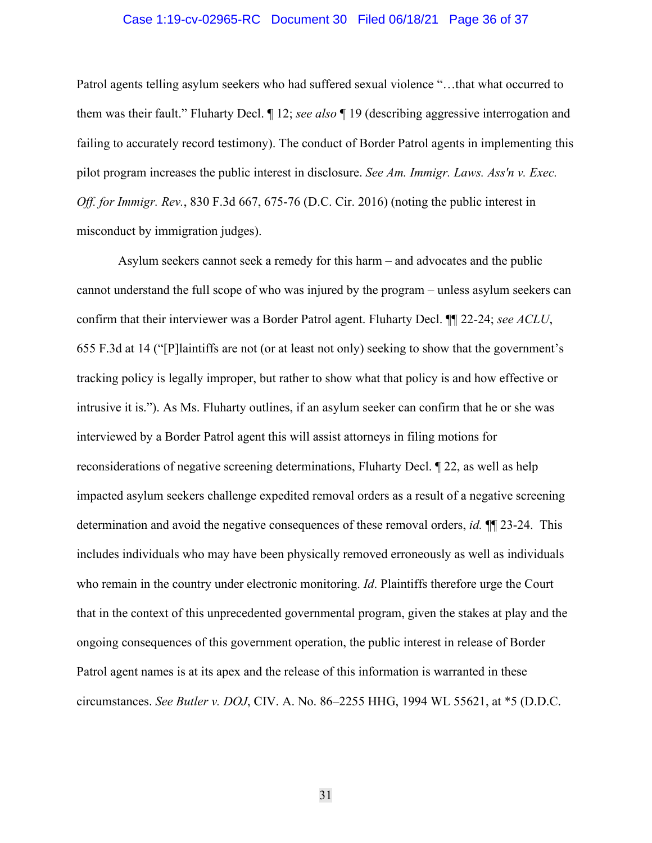#### Case 1:19-cv-02965-RC Document 30 Filed 06/18/21 Page 36 of 37

Patrol agents telling asylum seekers who had suffered sexual violence "…that what occurred to them was their fault." Fluharty Decl. ¶ 12; *see also* ¶ 19 (describing aggressive interrogation and failing to accurately record testimony). The conduct of Border Patrol agents in implementing this pilot program increases the public interest in disclosure. *See Am. Immigr. Laws. Ass'n v. Exec. Off. for Immigr. Rev.*, 830 F.3d 667, 675-76 (D.C. Cir. 2016) (noting the public interest in misconduct by immigration judges).

Asylum seekers cannot seek a remedy for this harm – and advocates and the public cannot understand the full scope of who was injured by the program – unless asylum seekers can confirm that their interviewer was a Border Patrol agent. Fluharty Decl. ¶¶ 22-24; *see ACLU*, 655 F.3d at 14 ("[P]laintiffs are not (or at least not only) seeking to show that the government's tracking policy is legally improper, but rather to show what that policy is and how effective or intrusive it is."). As Ms. Fluharty outlines, if an asylum seeker can confirm that he or she was interviewed by a Border Patrol agent this will assist attorneys in filing motions for reconsiderations of negative screening determinations, Fluharty Decl. ¶ 22, as well as help impacted asylum seekers challenge expedited removal orders as a result of a negative screening determination and avoid the negative consequences of these removal orders, *id.* ¶¶ 23-24. This includes individuals who may have been physically removed erroneously as well as individuals who remain in the country under electronic monitoring. *Id*. Plaintiffs therefore urge the Court that in the context of this unprecedented governmental program, given the stakes at play and the ongoing consequences of this government operation, the public interest in release of Border Patrol agent names is at its apex and the release of this information is warranted in these circumstances. *See Butler v. DOJ*, CIV. A. No. 86–2255 HHG, 1994 WL 55621, at \*5 (D.D.C.